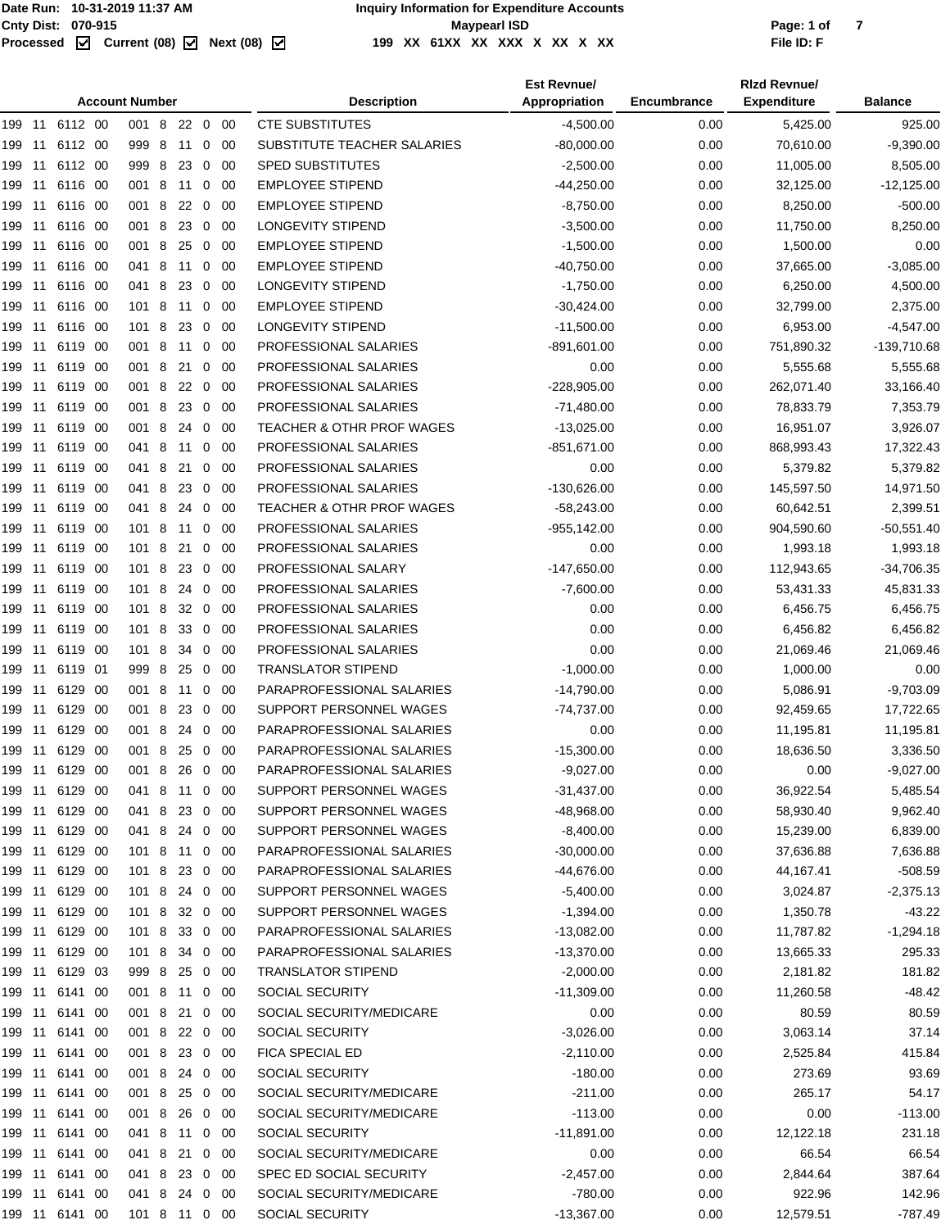|        |     |                |      | <b>Account Number</b> |   |         |                         |             | <b>Description</b>                   | <b>Est Revnue/</b><br>Appropriation | Encumbrance | <b>Rizd Revnue/</b><br><b>Expenditure</b> | <b>Balance</b> |
|--------|-----|----------------|------|-----------------------|---|---------|-------------------------|-------------|--------------------------------------|-------------------------------------|-------------|-------------------------------------------|----------------|
|        |     | 199 11 6112 00 |      | 001 8                 |   | 22 0 00 |                         |             | <b>CTE SUBSTITUTES</b>               | $-4,500.00$                         | 0.00        | 5,425.00                                  | 925.00         |
| 199 11 |     | 6112 00        |      | 999 8                 |   | 11      | 0                       | -00         | SUBSTITUTE TEACHER SALARIES          | $-80,000.00$                        | 0.00        | 70,610.00                                 | $-9,390.00$    |
| 199 11 |     | 6112 00        |      | 999 8                 |   | 23      | $\overline{0}$          | -00         | <b>SPED SUBSTITUTES</b>              | $-2,500.00$                         | 0.00        | 11,005.00                                 | 8,505.00       |
| 199 11 |     | 6116 00        |      | 001 8                 |   | 11      | 0                       | 00          | <b>EMPLOYEE STIPEND</b>              | $-44,250.00$                        | 0.00        | 32,125.00                                 | $-12,125.00$   |
| 199 11 |     | 6116 00        |      | 001 8                 |   | 22      | $\overline{0}$          | 00          | <b>EMPLOYEE STIPEND</b>              | $-8,750.00$                         | 0.00        | 8,250.00                                  | $-500.00$      |
| 199 11 |     | 6116 00        |      | 001 8                 |   | 23      | 0                       | 00          | LONGEVITY STIPEND                    | $-3,500.00$                         | 0.00        | 11,750.00                                 | 8,250.00       |
| 199    | 11  | 6116           | - 00 | 001 8                 |   | 25      | 0                       | 00          | <b>EMPLOYEE STIPEND</b>              | $-1,500.00$                         | 0.00        | 1,500.00                                  | 0.00           |
| 199    | -11 | 6116 00        |      | 041 8                 |   | 11      | 0                       | 00          | <b>EMPLOYEE STIPEND</b>              | $-40,750.00$                        | 0.00        | 37,665.00                                 | $-3,085.00$    |
| 199 11 |     | 6116 00        |      | 041 8                 |   | 23      | 0                       | 00          | <b>LONGEVITY STIPEND</b>             | $-1,750.00$                         | 0.00        | 6,250.00                                  | 4,500.00       |
| 199 11 |     | 6116 00        |      | 101 8                 |   | 11      | 0                       | 00          | <b>EMPLOYEE STIPEND</b>              | $-30,424.00$                        | 0.00        | 32,799.00                                 | 2,375.00       |
| 199 11 |     | 6116 00        |      | 101 8                 |   | 23      | $\mathbf 0$             | 00          | <b>LONGEVITY STIPEND</b>             | $-11,500.00$                        | 0.00        | 6,953.00                                  | $-4,547.00$    |
| 199 11 |     | 6119 00        |      | 001 8                 |   | 11      | 0                       | -00         | PROFESSIONAL SALARIES                | -891,601.00                         | 0.00        | 751,890.32                                | -139,710.68    |
| 199    | 11  | 6119           | - 00 | 001 8                 |   | 21      | 0                       | 00          | PROFESSIONAL SALARIES                | 0.00                                | 0.00        | 5,555.68                                  | 5,555.68       |
| 199    | 11  | 6119           | -00  | 001 8                 |   | 22      | 0                       | 00          | PROFESSIONAL SALARIES                | $-228,905.00$                       | 0.00        | 262,071.40                                | 33,166.40      |
| 199 11 |     | 6119           | - 00 | 001 8                 |   | 23      | $\overline{0}$          | -00         | PROFESSIONAL SALARIES                | $-71,480.00$                        | 0.00        | 78,833.79                                 | 7,353.79       |
| 199 11 |     | 6119           | - 00 | 001 8                 |   | 24      | 0                       | 00          | TEACHER & OTHR PROF WAGES            | $-13,025.00$                        | 0.00        | 16,951.07                                 | 3,926.07       |
| 199 11 |     | 6119 00        |      | 041 8                 |   | 11 0    |                         | -00         | PROFESSIONAL SALARIES                | $-851,671.00$                       | 0.00        | 868,993.43                                | 17,322.43      |
| 199 11 |     | 6119 00        |      | 041 8                 |   | 21      | 0                       | -00         | PROFESSIONAL SALARIES                | 0.00                                | 0.00        | 5,379.82                                  | 5,379.82       |
| 199    | 11  | 6119           | - 00 | 041 8                 |   | 23      | 0                       | 00          | PROFESSIONAL SALARIES                | -130,626.00                         | 0.00        | 145,597.50                                | 14,971.50      |
| 199    | -11 | 6119           | - 00 | 041 8                 |   | 24      | 0                       | 00          | <b>TEACHER &amp; OTHR PROF WAGES</b> | $-58,243.00$                        | 0.00        | 60,642.51                                 | 2,399.51       |
| 199 11 |     | 6119 00        |      | 101 8                 |   | 11      | 0                       | -00         | PROFESSIONAL SALARIES                | -955,142.00                         | 0.00        | 904,590.60                                | $-50,551.40$   |
| 199 11 |     | 6119           | - 00 | 101 8                 |   | 21      | 0                       | 00          | PROFESSIONAL SALARIES                | 0.00                                | 0.00        | 1,993.18                                  | 1,993.18       |
| 199 11 |     | 6119 00        |      | 101 8                 |   | 23      | 0                       | 00          | PROFESSIONAL SALARY                  | $-147,650.00$                       | 0.00        | 112,943.65                                | $-34,706.35$   |
| 199 11 |     | 6119 00        |      | 101 8                 |   | 24      | $\mathbf 0$             | 00          | PROFESSIONAL SALARIES                | $-7,600.00$                         | 0.00        | 53,431.33                                 | 45,831.33      |
| 199    | 11  | 6119           | - 00 | 101 8                 |   | 32      | 0                       | 00          | PROFESSIONAL SALARIES                | 0.00                                | 0.00        | 6,456.75                                  | 6,456.75       |
| 199    | 11  | 6119           | -00  | 101 8                 |   | 33      | 0                       | 00          | PROFESSIONAL SALARIES                | 0.00                                | 0.00        | 6,456.82                                  | 6,456.82       |
| 199 11 |     | 6119 00        |      | 101 8                 |   | 34      | 0                       | -00         | PROFESSIONAL SALARIES                | 0.00                                | 0.00        | 21,069.46                                 | 21,069.46      |
| 199 11 |     | 6119 01        |      | 999                   | 8 | 25      | 0                       | 00          | <b>TRANSLATOR STIPEND</b>            | $-1,000.00$                         | 0.00        | 1,000.00                                  | 0.00           |
| 199 11 |     | 6129 00        |      | 001 8                 |   | 11      | $\overline{\mathbf{0}}$ | 00          | PARAPROFESSIONAL SALARIES            | $-14,790.00$                        | 0.00        | 5,086.91                                  | $-9,703.09$    |
| 199 11 |     | 6129 00        |      | 001 8                 |   | 23      | 0                       | -00         | SUPPORT PERSONNEL WAGES              | -74,737.00                          | 0.00        | 92,459.65                                 | 17,722.65      |
| 199    | -11 | 6129           | - 00 | 001 8                 |   | 24      | 0                       | 00          | PARAPROFESSIONAL SALARIES            | 0.00                                | 0.00        | 11,195.81                                 | 11,195.81      |
|        |     | 199 11 6129 00 |      | 001 8 25 0 00         |   |         |                         |             | PARAPROFESSIONAL SALARIES            | $-15,300.00$                        | 0.00        | 18,636.50                                 | 3,336.50       |
| 199 11 |     | 6129 00        |      | 001 8 26 0            |   |         |                         | 00          | PARAPROFESSIONAL SALARIES            | $-9,027.00$                         | 0.00        | 0.00                                      | $-9,027.00$    |
| 199 11 |     | 6129 00        |      | 041 8                 |   | 11 0 00 |                         |             | SUPPORT PERSONNEL WAGES              | $-31,437.00$                        | 0.00        | 36,922.54                                 | 5,485.54       |
|        |     | 199 11 6129 00 |      | 041 8                 |   | 23 0 00 |                         |             | SUPPORT PERSONNEL WAGES              | $-48,968.00$                        | 0.00        | 58,930.40                                 | 9,962.40       |
| 199 11 |     | 6129 00        |      | 041 8 24 0 00         |   |         |                         |             | SUPPORT PERSONNEL WAGES              | $-8,400.00$                         | 0.00        | 15,239.00                                 | 6,839.00       |
| 199 11 |     | 6129 00        |      | 101 8                 |   | 11      | 0                       | - 00        | PARAPROFESSIONAL SALARIES            | $-30,000.00$                        | 0.00        | 37,636.88                                 | 7,636.88       |
| 199 11 |     | 6129 00        |      | 101 8                 |   | 23 0    |                         | - 00        | PARAPROFESSIONAL SALARIES            | $-44,676.00$                        | 0.00        | 44,167.41                                 | $-508.59$      |
| 199 11 |     | 6129 00        |      | 101 8 24 0 00         |   |         |                         |             | SUPPORT PERSONNEL WAGES              | $-5,400.00$                         | 0.00        | 3,024.87                                  | $-2,375.13$    |
| 199 11 |     | 6129 00        |      | 101 8                 |   | 32 0 00 |                         |             | SUPPORT PERSONNEL WAGES              | $-1,394.00$                         | 0.00        | 1,350.78                                  | $-43.22$       |
|        |     | 199 11 6129 00 |      | 101 8                 |   | 33 0 00 |                         |             | PARAPROFESSIONAL SALARIES            | $-13,082.00$                        | 0.00        | 11,787.82                                 | $-1,294.18$    |
|        |     | 199 11 6129 00 |      | 101 8 34 0 00         |   |         |                         |             | PARAPROFESSIONAL SALARIES            | -13,370.00                          | 0.00        | 13,665.33                                 | 295.33         |
| 199 11 |     | 6129 03        |      | 999 8                 |   | 25      | $\overline{0}$          | - 00        | <b>TRANSLATOR STIPEND</b>            | $-2,000.00$                         | 0.00        | 2,181.82                                  | 181.82         |
|        |     | 199 11 6141 00 |      | 001 8 11 0            |   |         |                         | - 00        | SOCIAL SECURITY                      | $-11,309.00$                        | 0.00        | 11,260.58                                 | -48.42         |
| 199 11 |     | 6141 00        |      | 001 8                 |   | 21 0 00 |                         |             | SOCIAL SECURITY/MEDICARE             | 0.00                                | 0.00        | 80.59                                     | 80.59          |
| 199 11 |     | 6141 00        |      | 001 8                 |   | 22 0 00 |                         |             | SOCIAL SECURITY                      | $-3,026.00$                         | 0.00        | 3,063.14                                  | 37.14          |
|        |     | 199 11 6141 00 |      | 001 8                 |   | 23 0 00 |                         |             | FICA SPECIAL ED                      | $-2,110.00$                         | 0.00        | 2,525.84                                  | 415.84         |
| 199 11 |     | 6141 00        |      | 001 8 24 0 00         |   |         |                         |             | SOCIAL SECURITY                      | $-180.00$                           | 0.00        | 273.69                                    | 93.69          |
| 199 11 |     | 6141 00        |      | 001 8                 |   | 25      |                         | $0\quad 00$ | SOCIAL SECURITY/MEDICARE             | $-211.00$                           | 0.00        | 265.17                                    | 54.17          |
|        |     | 199 11 6141 00 |      | 001 8                 |   | 26      |                         | 0 00        | SOCIAL SECURITY/MEDICARE             | $-113.00$                           | 0.00        | 0.00                                      | $-113.00$      |
| 199 11 |     | 6141 00        |      | 041 8 11 0 00         |   |         |                         |             | SOCIAL SECURITY                      | $-11,891.00$                        | 0.00        | 12,122.18                                 | 231.18         |
| 199 11 |     | 6141 00        |      | 041 8                 |   | 21      |                         | $0\quad 00$ | SOCIAL SECURITY/MEDICARE             | 0.00                                | 0.00        | 66.54                                     | 66.54          |
|        |     | 199 11 6141 00 |      | 041 8 23 0 00         |   |         |                         |             | SPEC ED SOCIAL SECURITY              | $-2,457.00$                         | 0.00        | 2,844.64                                  | 387.64         |
|        |     | 199 11 6141 00 |      | 041 8 24 0 00         |   |         |                         |             | SOCIAL SECURITY/MEDICARE             | $-780.00$                           | 0.00        | 922.96                                    | 142.96         |
|        |     | 199 11 6141 00 |      | 101 8 11 0 00         |   |         |                         |             | SOCIAL SECURITY                      | $-13,367.00$                        | 0.00        | 12,579.51                                 | -787.49        |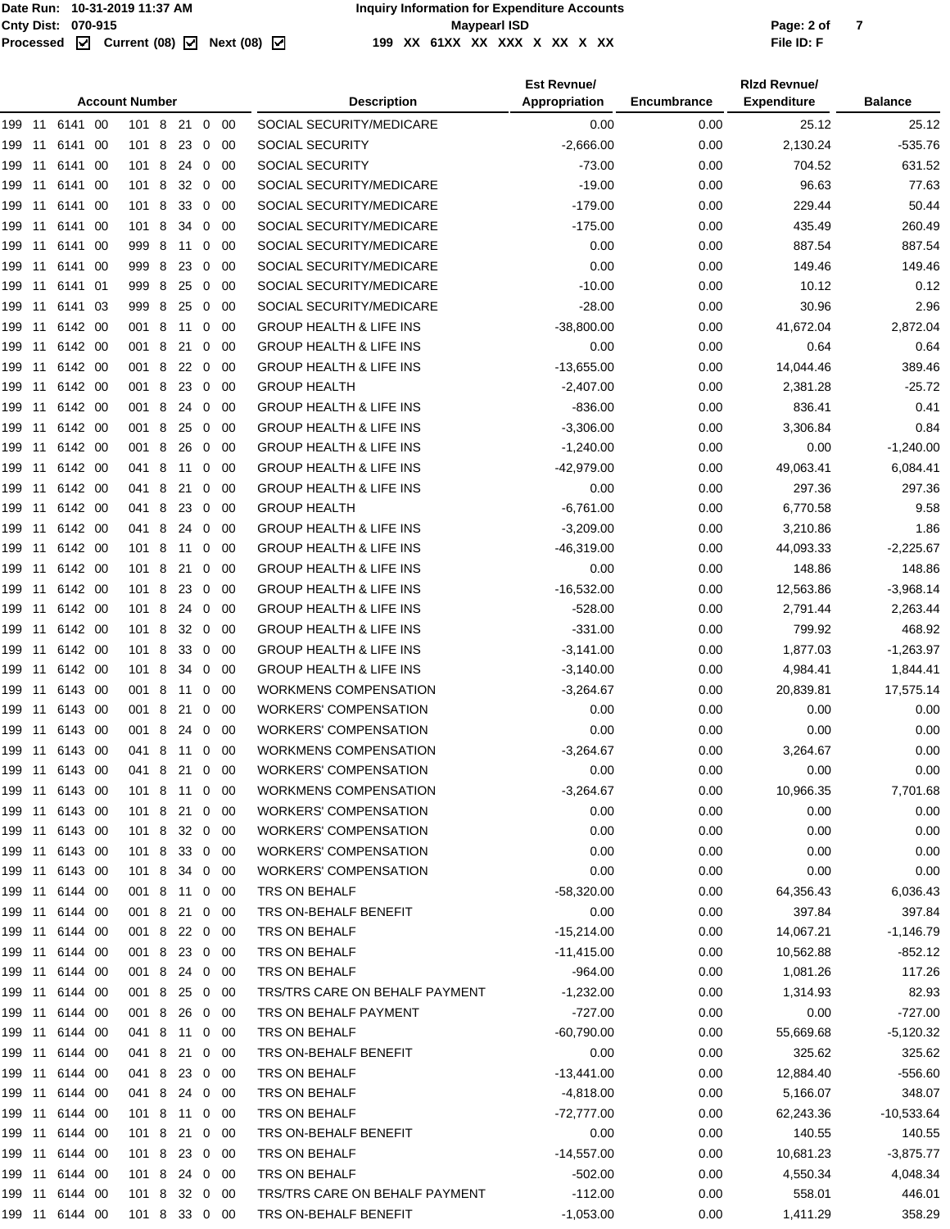Page: 2 of 7<br>**File ID: F** 

|        |     |                |      | <b>Account Number</b> |   |         |                |             | <b>Description</b>                 | <b>Est Revnue/</b><br>Appropriation | Encumbrance | <b>Rizd Revnue/</b><br><b>Expenditure</b> | <b>Balance</b> |
|--------|-----|----------------|------|-----------------------|---|---------|----------------|-------------|------------------------------------|-------------------------------------|-------------|-------------------------------------------|----------------|
|        |     | 199 11 6141 00 |      | 101 8                 |   | 21      |                | $0\quad00$  | SOCIAL SECURITY/MEDICARE           | 0.00                                | 0.00        | 25.12                                     | 25.12          |
| 199 11 |     | 6141           | 00   | 1018                  |   | 23      |                | $0\quad 00$ | <b>SOCIAL SECURITY</b>             | $-2,666.00$                         | 0.00        | 2,130.24                                  | $-535.76$      |
| 199 11 |     | 6141 00        |      | 101 8                 |   | 24      | $\overline{0}$ | -00         | SOCIAL SECURITY                    | $-73.00$                            | 0.00        | 704.52                                    | 631.52         |
| 199 11 |     | 6141 00        |      | 101 8                 |   | 32 0 00 |                |             | SOCIAL SECURITY/MEDICARE           | $-19.00$                            | 0.00        | 96.63                                     | 77.63          |
| 199    | 11  | 6141 00        |      | 101 8                 |   | 33      |                | $0\quad 00$ | SOCIAL SECURITY/MEDICARE           | $-179.00$                           | 0.00        | 229.44                                    | 50.44          |
| 199    | 11  | 6141           | - 00 | 101 8                 |   | 34      | $\mathbf{0}$   | 00          | SOCIAL SECURITY/MEDICARE           | $-175.00$                           | 0.00        | 435.49                                    | 260.49         |
| 199    | -11 | 6141           | - 00 | 999 8                 |   | 11      | $\mathbf{0}$   | 00          | SOCIAL SECURITY/MEDICARE           | 0.00                                | 0.00        | 887.54                                    | 887.54         |
| 199 11 |     | 6141 00        |      | 999 8                 |   | 23      | $\mathbf{0}$   | - 00        | SOCIAL SECURITY/MEDICARE           | 0.00                                | 0.00        | 149.46                                    | 149.46         |
| 199 11 |     | 6141 01        |      | 999 8                 |   | 25      | $\mathbf 0$    | 00          | SOCIAL SECURITY/MEDICARE           | $-10.00$                            | 0.00        | 10.12                                     | 0.12           |
| 199 11 |     | 6141 03        |      | 999 8                 |   | 25      | $\mathbf{0}$   | 00          | SOCIAL SECURITY/MEDICARE           | $-28.00$                            | 0.00        | 30.96                                     | 2.96           |
| 199 11 |     | 6142 00        |      | 001 8                 |   | -11     | $\mathbf{0}$   | - 00        | <b>GROUP HEALTH &amp; LIFE INS</b> | $-38,800.00$                        | 0.00        | 41,672.04                                 | 2,872.04       |
| 199    | 11  | 6142 00        |      | 001 8                 |   | 21      | 0              | 00          | <b>GROUP HEALTH &amp; LIFE INS</b> | 0.00                                | 0.00        | 0.64                                      | 0.64           |
| 199    | 11  | 6142 00        |      | 001 8                 |   | 22      | 0              | 00          | <b>GROUP HEALTH &amp; LIFE INS</b> | $-13,655.00$                        | 0.00        | 14,044.46                                 | 389.46         |
| 199    | 11  | 6142 00        |      | 001 8                 |   | 23      |                | $0\quad 00$ | <b>GROUP HEALTH</b>                | $-2,407.00$                         | 0.00        | 2,381.28                                  | $-25.72$       |
| 199 11 |     | 6142 00        |      | 001 8                 |   | 24      | $\mathbf{0}$   | 00          | <b>GROUP HEALTH &amp; LIFE INS</b> | $-836.00$                           | 0.00        | 836.41                                    | 0.41           |
| 199    | 11  | 6142 00        |      | 001 8                 |   | 25      |                | $0\quad 00$ | <b>GROUP HEALTH &amp; LIFE INS</b> | $-3,306.00$                         | 0.00        | 3,306.84                                  | 0.84           |
| 199    | 11  | 6142 00        |      | 001 8                 |   | 26      |                | $0\quad 00$ | <b>GROUP HEALTH &amp; LIFE INS</b> | $-1,240.00$                         | 0.00        | 0.00                                      | $-1,240.00$    |
| 199    | 11  | 6142 00        |      | 041 8                 |   | 11      | 0              | 00          | <b>GROUP HEALTH &amp; LIFE INS</b> | $-42,979.00$                        | 0.00        | 49,063.41                                 | 6,084.41       |
| 199    | 11  | 6142 00        |      | 041 8                 |   | 21      | $\mathbf{0}$   | - 00        | <b>GROUP HEALTH &amp; LIFE INS</b> | 0.00                                | 0.00        | 297.36                                    | 297.36         |
| 199 11 |     | 6142 00        |      | 041 8                 |   | 23      |                | $0\quad 00$ | <b>GROUP HEALTH</b>                | $-6,761.00$                         | 0.00        | 6,770.58                                  | 9.58           |
| 199 11 |     | 6142 00        |      | 041 8                 |   | 24      | $\mathbf{0}$   | 00          | <b>GROUP HEALTH &amp; LIFE INS</b> | $-3,209.00$                         | 0.00        | 3,210.86                                  | 1.86           |
| 199 11 |     | 6142 00        |      | 101 8                 |   | 11      |                | $0\quad 00$ | <b>GROUP HEALTH &amp; LIFE INS</b> | $-46,319.00$                        | 0.00        | 44,093.33                                 | $-2,225.67$    |
| 199 11 |     | 6142 00        |      | 101 8                 |   | 21      |                | $0\quad 00$ | <b>GROUP HEALTH &amp; LIFE INS</b> | 0.00                                | 0.00        | 148.86                                    | 148.86         |
| 199    | 11  | 6142 00        |      | 101 8                 |   | 23      | 0              | 00          | <b>GROUP HEALTH &amp; LIFE INS</b> | $-16,532.00$                        | 0.00        | 12,563.86                                 | $-3,968.14$    |
| 199    | 11  | 6142 00        |      | 101 8                 |   | 24      | 0              | 00          | <b>GROUP HEALTH &amp; LIFE INS</b> | $-528.00$                           | 0.00        | 2,791.44                                  | 2,263.44       |
| 199    | 11  | 6142 00        |      | 101 8                 |   | 32      |                | $0\quad 00$ | <b>GROUP HEALTH &amp; LIFE INS</b> | $-331.00$                           | 0.00        | 799.92                                    | 468.92         |
| 199    | 11  | 6142 00        |      | 101 8                 |   | 33      | $\mathbf 0$    | 00          | <b>GROUP HEALTH &amp; LIFE INS</b> | $-3,141.00$                         | 0.00        | 1,877.03                                  | $-1,263.97$    |
| 199    | -11 | 6142 00        |      | 101 8                 |   | 34      |                | $0\quad 00$ | <b>GROUP HEALTH &amp; LIFE INS</b> | $-3,140.00$                         | 0.00        | 4,984.41                                  | 1,844.41       |
| 199    | 11  | 6143 00        |      | 001 8                 |   | -11     | 0              | -00         | <b>WORKMENS COMPENSATION</b>       | $-3,264.67$                         | 0.00        | 20,839.81                                 | 17,575.14      |
| 199    | 11  | 6143 00        |      | 001 8                 |   | 21      | 0              | -00         | <b>WORKERS' COMPENSATION</b>       | 0.00                                | 0.00        | 0.00                                      | 0.00           |
| 199    | -11 | 6143 00        |      | 001 8                 |   | 24      | $\mathbf{0}$   | 00          | <b>WORKERS' COMPENSATION</b>       | 0.00                                | 0.00        | 0.00                                      | 0.00           |
|        |     | 199 11 6143 00 |      | 041 8 11              |   |         |                | $0\quad 00$ | <b>WORKMENS COMPENSATION</b>       | $-3,264.67$                         | 0.00        | 3,264.67                                  | 0.00           |
| 199    |     | 11 6143 00     |      | 041                   | 8 | 21      |                | $0\quad00$  | <b>WORKERS' COMPENSATION</b>       | 0.00                                | 0.00        | 0.00                                      | 0.00           |
|        |     | 199 11 6143 00 |      | 101 8 11 0 00         |   |         |                |             | WORKMENS COMPENSATION              | $-3,264.67$                         | 0.00        | 10,966.35                                 | 7,701.68       |
|        |     | 199 11 6143 00 |      | 101 8 21              |   |         |                | $0\quad 00$ | <b>WORKERS' COMPENSATION</b>       | 0.00                                | 0.00        | 0.00                                      | 0.00           |
| 199 11 |     | 6143 00        |      | 101 8                 |   | 32 0 00 |                |             | <b>WORKERS' COMPENSATION</b>       | 0.00                                | 0.00        | 0.00                                      | 0.00           |
| 199 11 |     | 6143 00        |      | 101 8                 |   | 33 0 00 |                |             | <b>WORKERS' COMPENSATION</b>       | 0.00                                | 0.00        | 0.00                                      | 0.00           |
| 199 11 |     | 6143 00        |      | 101 8 34 0 00         |   |         |                |             | <b>WORKERS' COMPENSATION</b>       | 0.00                                | 0.00        | 0.00                                      | 0.00           |
| 199 11 |     | 6144 00        |      | 001 8                 |   | 11      |                | $0\quad 00$ | TRS ON BEHALF                      | $-58,320.00$                        | 0.00        | 64,356.43                                 | 6,036.43       |
| 199 11 |     | 6144 00        |      | 001 8 21              |   |         |                | $0\quad 00$ | TRS ON-BEHALF BENEFIT              | 0.00                                | 0.00        | 397.84                                    | 397.84         |
| 199 11 |     | 6144 00        |      | 001 8 22 0 00         |   |         |                |             | TRS ON BEHALF                      | $-15,214.00$                        | 0.00        | 14,067.21                                 | $-1,146.79$    |
| 199 11 |     | 6144 00        |      | 001 8                 |   | 23      |                | $0\quad 00$ | TRS ON BEHALF                      | $-11,415.00$                        | 0.00        | 10,562.88                                 | $-852.12$      |
| 199 11 |     | 6144 00        |      | 001 8                 |   | 24 0 00 |                |             | TRS ON BEHALF                      | $-964.00$                           | 0.00        | 1,081.26                                  | 117.26         |
|        |     | 199 11 6144 00 |      | 001 8 25 0 00         |   |         |                |             | TRS/TRS CARE ON BEHALF PAYMENT     | $-1,232.00$                         | 0.00        | 1,314.93                                  | 82.93          |
| 199 11 |     | 6144 00        |      | 001 8                 |   | 26      |                | $0\quad 00$ | TRS ON BEHALF PAYMENT              | $-727.00$                           | 0.00        | 0.00                                      | $-727.00$      |
| 199 11 |     | 6144 00        |      | 041 8 11 0 00         |   |         |                |             | TRS ON BEHALF                      | $-60,790.00$                        | 0.00        | 55,669.68                                 | $-5,120.32$    |
| 199 11 |     | 6144 00        |      | 041 8 21              |   |         |                | $0\quad 00$ | TRS ON-BEHALF BENEFIT              | 0.00                                | 0.00        | 325.62                                    | 325.62         |
| 199 11 |     | 6144 00        |      | 041 8                 |   | 23      |                | $0\quad 00$ | TRS ON BEHALF                      | $-13,441.00$                        | 0.00        | 12,884.40                                 | $-556.60$      |
| 199 11 |     | 6144 00        |      | 041 8                 |   | 24 0 00 |                |             | TRS ON BEHALF                      | $-4,818.00$                         | 0.00        | 5,166.07                                  | 348.07         |
|        |     | 199 11 6144 00 |      | 101 8 11              |   |         |                | $0\quad00$  | TRS ON BEHALF                      | $-72,777.00$                        | 0.00        | 62,243.36                                 | $-10,533.64$   |
| 199 11 |     | 6144 00        |      | 101 8                 |   | 21      |                | $0\quad 00$ | TRS ON-BEHALF BENEFIT              | 0.00                                | 0.00        | 140.55                                    | 140.55         |
| 199 11 |     | 6144 00        |      | 101 8 23 0 00         |   |         |                |             | TRS ON BEHALF                      | $-14,557.00$                        | 0.00        | 10,681.23                                 | $-3,875.77$    |
| 199 11 |     | 6144 00        |      | 101 8 24 0 00         |   |         |                |             | TRS ON BEHALF                      | $-502.00$                           | 0.00        | 4,550.34                                  | 4,048.34       |
| 199 11 |     | 6144 00        |      | 101 8                 |   | 32 0 00 |                |             | TRS/TRS CARE ON BEHALF PAYMENT     | $-112.00$                           | 0.00        | 558.01                                    | 446.01         |
|        |     | 199 11 6144 00 |      | 101 8 33 0 00         |   |         |                |             | TRS ON-BEHALF BENEFIT              | $-1,053.00$                         | 0.00        | 1,411.29                                  | 358.29         |
|        |     |                |      |                       |   |         |                |             |                                    |                                     |             |                                           |                |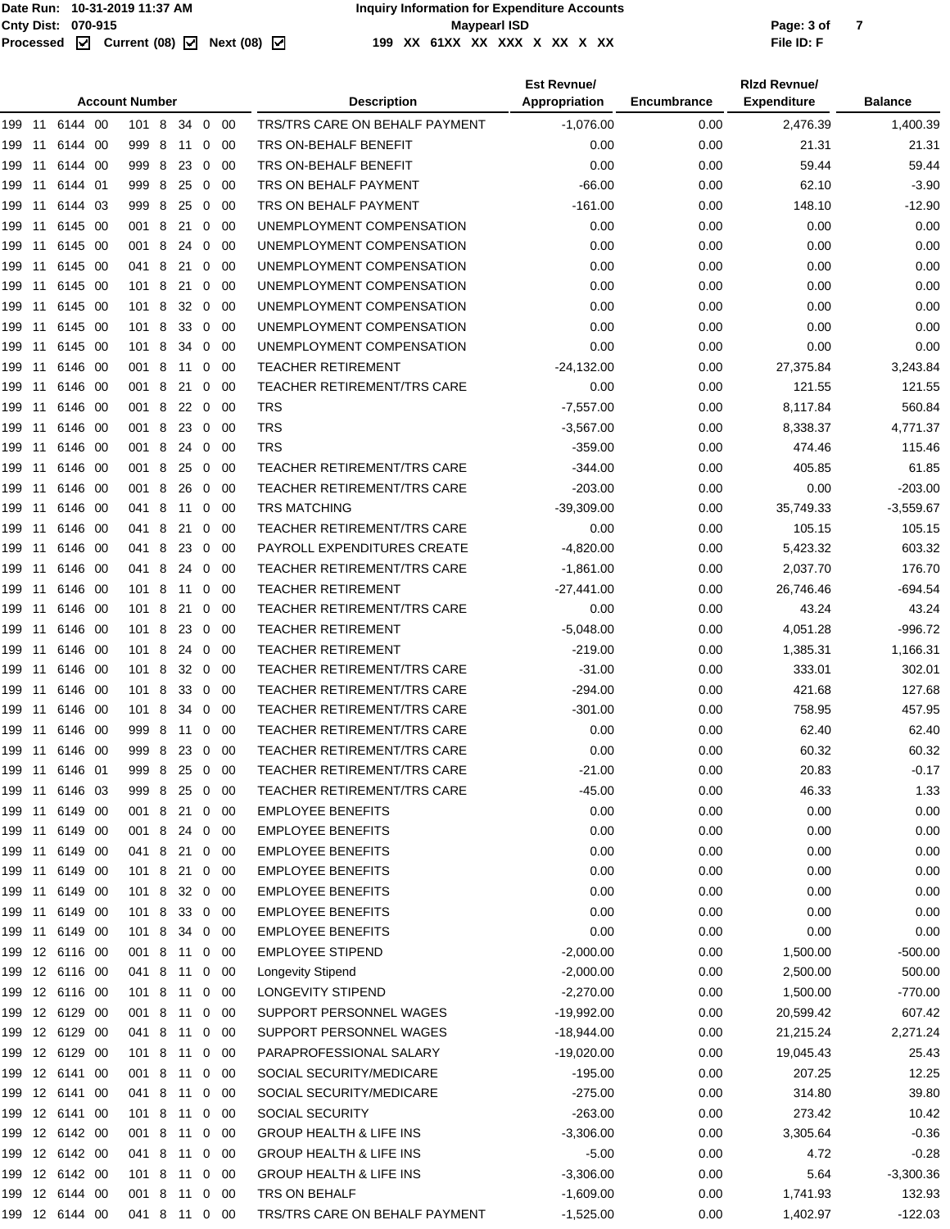|        |        |                | <b>Account Number</b> |   |    |                |             | <b>Description</b>                 | <b>Est Revnue/</b><br>Appropriation | Encumbrance | <b>Rizd Revnue/</b><br><b>Expenditure</b> | <b>Balance</b> |
|--------|--------|----------------|-----------------------|---|----|----------------|-------------|------------------------------------|-------------------------------------|-------------|-------------------------------------------|----------------|
| 199 11 |        | 6144 00        | 101 8                 |   |    |                | 34 0 00     | TRS/TRS CARE ON BEHALF PAYMENT     | $-1,076.00$                         | 0.00        | 2,476.39                                  | 1,400.39       |
| 199    | 11     | 6144 00        | 999 8                 |   | 11 |                | $0\quad 00$ | TRS ON-BEHALF BENEFIT              | 0.00                                | 0.00        | 21.31                                     | 21.31          |
| 199    | 11     | 6144 00        | 999 8                 |   | 23 |                | $0\quad 00$ | TRS ON-BEHALF BENEFIT              | 0.00                                | 0.00        | 59.44                                     | 59.44          |
| 199    | 11     | 6144 01        | 999 8                 |   | 25 | $\overline{0}$ | - 00        | TRS ON BEHALF PAYMENT              | $-66.00$                            | 0.00        | 62.10                                     | $-3.90$        |
| 199    | 11     | 6144 03        | 999 8                 |   | 25 |                | $0\quad 00$ | TRS ON BEHALF PAYMENT              | $-161.00$                           | 0.00        | 148.10                                    | $-12.90$       |
| 199    | 11     | 6145 00        | 001 8                 |   | 21 |                | $0\quad 00$ | UNEMPLOYMENT COMPENSATION          | 0.00                                | 0.00        | 0.00                                      | 0.00           |
| 199    | 11     | 6145 00        | 001 8                 |   | 24 |                | $0\quad 00$ | UNEMPLOYMENT COMPENSATION          | 0.00                                | 0.00        | 0.00                                      | 0.00           |
| 199    | 11     | 6145 00        | 041 8                 |   | 21 |                | $0\quad 00$ | UNEMPLOYMENT COMPENSATION          | 0.00                                | 0.00        | 0.00                                      | 0.00           |
| 199    | 11     | 6145 00        | 101 8                 |   | 21 |                | $0\quad 00$ | UNEMPLOYMENT COMPENSATION          | 0.00                                | 0.00        | 0.00                                      | 0.00           |
| 199    | 11     | 6145 00        | 101 8                 |   | 32 |                | $0\quad 00$ | UNEMPLOYMENT COMPENSATION          | 0.00                                | 0.00        | 0.00                                      | 0.00           |
| 199    | 11     | 6145 00        | 101 8                 |   | 33 |                | $0\quad 00$ | UNEMPLOYMENT COMPENSATION          | 0.00                                | 0.00        | 0.00                                      | 0.00           |
| 199    | 11     | 6145 00        | 101 8                 |   | 34 |                | $0\quad 00$ | UNEMPLOYMENT COMPENSATION          | 0.00                                | 0.00        | 0.00                                      | 0.00           |
| 199    | 11     | 6146 00        | 001 8                 |   | 11 | $\mathbf{0}$   | - 00        | <b>TEACHER RETIREMENT</b>          | $-24,132.00$                        | 0.00        | 27,375.84                                 | 3,243.84       |
| 199    | 11     | 6146 00        | 001 8                 |   | 21 | 0              | -00         | <b>TEACHER RETIREMENT/TRS CARE</b> | 0.00                                | 0.00        | 121.55                                    | 121.55         |
| 199    | 11     | 6146 00        | 001 8                 |   | 22 |                | $0\quad 00$ | <b>TRS</b>                         | $-7,557.00$                         | 0.00        | 8,117.84                                  | 560.84         |
| 199    | 11     | 6146 00        | 001 8                 |   | 23 |                | $0\quad 00$ | <b>TRS</b>                         | $-3,567.00$                         | 0.00        | 8,338.37                                  | 4,771.37       |
| 199    | 11     | 6146 00        | 001 8                 |   | 24 | $\overline{0}$ | - 00        | <b>TRS</b>                         | $-359.00$                           | 0.00        | 474.46                                    | 115.46         |
| 199    | 11     | 6146 00        | 001 8                 |   | 25 |                | $0\quad 00$ | <b>TEACHER RETIREMENT/TRS CARE</b> | $-344.00$                           | 0.00        | 405.85                                    | 61.85          |
| 199    | 11     | 6146 00        | 001                   | 8 | 26 |                | $0\quad 00$ | TEACHER RETIREMENT/TRS CARE        | $-203.00$                           | 0.00        | 0.00                                      | $-203.00$      |
| 199    | 11     | 6146 00        | 041 8                 |   | 11 |                | $0\quad 00$ | <b>TRS MATCHING</b>                | $-39,309.00$                        | 0.00        | 35,749.33                                 | $-3,559.67$    |
| 199    | 11     | 6146 00        | 041 8                 |   | 21 |                | $0\quad 00$ | <b>TEACHER RETIREMENT/TRS CARE</b> | 0.00                                | 0.00        | 105.15                                    | 105.15         |
| 199    | 11     | 6146 00        | 041 8                 |   | 23 |                | $0\quad 00$ | PAYROLL EXPENDITURES CREATE        | $-4,820.00$                         | 0.00        | 5,423.32                                  | 603.32         |
| 199    | 11     | 6146 00        | 041 8                 |   | 24 |                | $0\quad 00$ | <b>TEACHER RETIREMENT/TRS CARE</b> | $-1,861.00$                         | 0.00        | 2,037.70                                  | 176.70         |
| 199    | 11     | 6146 00        | 101 8 11              |   |    |                | $0\quad 00$ | <b>TEACHER RETIREMENT</b>          | $-27,441.00$                        | 0.00        | 26,746.46                                 | $-694.54$      |
| 199    | 11     | 6146 00        | 101 8                 |   | 21 | 0              | - 00        | <b>TEACHER RETIREMENT/TRS CARE</b> | 0.00                                | 0.00        | 43.24                                     | 43.24          |
| 199    | 11     | 6146 00        | 101 8                 |   | 23 |                | $0\quad 00$ | <b>TEACHER RETIREMENT</b>          | $-5,048.00$                         | 0.00        | 4,051.28                                  | $-996.72$      |
| 199    | 11     | 6146 00        | 101 8                 |   | 24 |                | $0\quad00$  | <b>TEACHER RETIREMENT</b>          | $-219.00$                           | 0.00        | 1,385.31                                  | 1,166.31       |
| 199    | 11     | 6146 00        | 101 8                 |   | 32 |                | $0\quad 00$ | <b>TEACHER RETIREMENT/TRS CARE</b> | $-31.00$                            | 0.00        | 333.01                                    | 302.01         |
| 199    |        | 11 6146 00     | 101 8                 |   | 33 |                | $0\quad00$  | <b>TEACHER RETIREMENT/TRS CARE</b> | $-294.00$                           | 0.00        | 421.68                                    | 127.68         |
| 199    | 11     | 6146 00        | 101 8                 |   | 34 |                | $0\quad00$  | TEACHER RETIREMENT/TRS CARE        | $-301.00$                           | 0.00        | 758.95                                    | 457.95         |
| 199    | 11     | 6146 00        | 999 8                 |   | 11 |                | $0\quad 00$ | <b>TEACHER RETIREMENT/TRS CARE</b> | 0.00                                | 0.00        | 62.40                                     | 62.40          |
|        |        | 199 11 6146 00 | 999 8 23 0 00         |   |    |                |             | <b>TEACHER RETIREMENT/TRS CARE</b> | 0.00                                | 0.00        | 60.32                                     | 60.32          |
|        |        | 199 11 6146 01 | 999 8 25              |   |    |                | $0\quad 00$ | TEACHER RETIREMENT/TRS CARE        | $-21.00$                            | 0.00        | 20.83                                     | $-0.17$        |
|        |        | 199 11 6146 03 | 9998                  |   | 25 |                | $0\quad 00$ | TEACHER RETIREMENT/TRS CARE        | $-45.00$                            | 0.00        | 46.33                                     | 1.33           |
|        |        | 199 11 6149 00 | 001 8 21              |   |    |                | $0\quad00$  | <b>EMPLOYEE BENEFITS</b>           | 0.00                                | 0.00        | 0.00                                      | 0.00           |
|        |        | 199 11 6149 00 | 001 8 24 0 00         |   |    |                |             | <b>EMPLOYEE BENEFITS</b>           | 0.00                                | 0.00        | 0.00                                      | 0.00           |
|        | 199 11 | 6149 00        | 041 8 21              |   |    |                | $0\quad 00$ | <b>EMPLOYEE BENEFITS</b>           | 0.00                                | 0.00        | 0.00                                      | 0.00           |
|        |        | 199 11 6149 00 | 101 8                 |   | 21 |                | $0\quad 00$ | <b>EMPLOYEE BENEFITS</b>           | 0.00                                | 0.00        | 0.00                                      | 0.00           |
|        |        | 199 11 6149 00 | 101 8                 |   | 32 |                | $0\quad 00$ | <b>EMPLOYEE BENEFITS</b>           | 0.00                                | 0.00        | 0.00                                      | 0.00           |
| 199 11 |        | 6149 00        | 101 8                 |   | 33 |                | $0\quad 00$ | <b>EMPLOYEE BENEFITS</b>           | 0.00                                | 0.00        | 0.00                                      | 0.00           |
|        |        | 199 11 6149 00 | 101 8 34              |   |    |                | 0 00        | <b>EMPLOYEE BENEFITS</b>           | 0.00                                | 0.00        | 0.00                                      | 0.00           |
|        |        | 199 12 6116 00 | 001 8 11              |   |    |                | $0\quad 00$ | <b>EMPLOYEE STIPEND</b>            | $-2,000.00$                         | 0.00        | 1,500.00                                  | $-500.00$      |
| 199    |        | 12 6116 00     | 041 8 11              |   |    |                | $0\quad 00$ | Longevity Stipend                  | $-2,000.00$                         | 0.00        | 2,500.00                                  | 500.00         |
| 199    |        | 12 6116 00     | 101 8 11              |   |    |                | $0\quad 00$ | LONGEVITY STIPEND                  | $-2,270.00$                         | 0.00        | 1,500.00                                  | $-770.00$      |
|        |        | 199 12 6129 00 | 001 8 11              |   |    |                | $0\quad 00$ | SUPPORT PERSONNEL WAGES            | $-19,992.00$                        | 0.00        | 20,599.42                                 | 607.42         |
| 199    |        | 12 6129 00     | 041 8                 |   | 11 |                | $0\quad00$  | SUPPORT PERSONNEL WAGES            | $-18,944.00$                        | 0.00        | 21,215.24                                 | 2,271.24       |
|        |        | 199 12 6129 00 | 101 8 11              |   |    |                | $0\quad 00$ | PARAPROFESSIONAL SALARY            | $-19,020.00$                        | 0.00        | 19,045.43                                 | 25.43          |
|        |        | 199 12 6141 00 | 001 8 11              |   |    |                | $0\quad 00$ | SOCIAL SECURITY/MEDICARE           | $-195.00$                           | 0.00        | 207.25                                    | 12.25          |
| 199    |        | 12 6141 00     | 041 8                 |   | 11 |                | $0\quad 00$ | SOCIAL SECURITY/MEDICARE           | $-275.00$                           | 0.00        | 314.80                                    | 39.80          |
|        |        | 199 12 6141 00 | 101 8 11              |   |    |                | $0\quad 00$ | <b>SOCIAL SECURITY</b>             | $-263.00$                           | 0.00        | 273.42                                    | 10.42          |
|        |        | 199 12 6142 00 | 001 8 11              |   |    |                | $0\quad 00$ | <b>GROUP HEALTH &amp; LIFE INS</b> | $-3,306.00$                         | 0.00        | 3,305.64                                  | $-0.36$        |
| 199    |        | 12 6142 00     | 041 8                 |   | 11 |                | $0\quad 00$ | <b>GROUP HEALTH &amp; LIFE INS</b> | $-5.00$                             | 0.00        | 4.72                                      | $-0.28$        |
|        |        | 199 12 6142 00 | 101 8 11 0 00         |   |    |                |             | <b>GROUP HEALTH &amp; LIFE INS</b> | $-3,306.00$                         | 0.00        | 5.64                                      | $-3,300.36$    |
|        |        | 199 12 6144 00 | 001 8 11              |   |    |                | $0\quad 00$ | TRS ON BEHALF                      | $-1,609.00$                         | 0.00        | 1,741.93                                  | 132.93         |
|        |        | 199 12 6144 00 | 041 8 11 0 00         |   |    |                |             | TRS/TRS CARE ON BEHALF PAYMENT     | $-1,525.00$                         | 0.00        | 1,402.97                                  | $-122.03$      |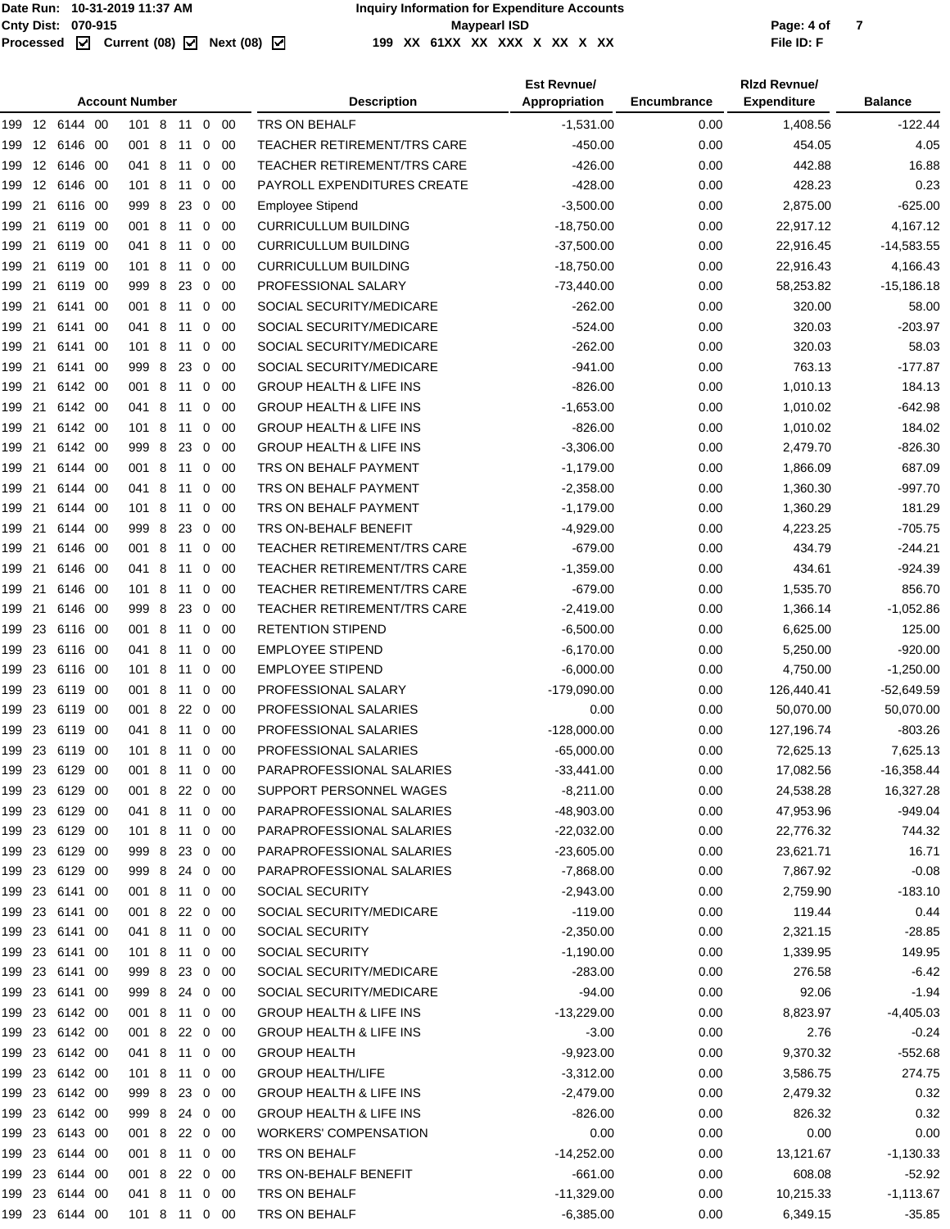|        |        |                |      | <b>Account Number</b> |   |         |              |             | <b>Description</b>                 | <b>Est Revnue/</b><br>Appropriation | Encumbrance | <b>Rizd Revnue/</b><br><b>Expenditure</b> | <b>Balance</b> |
|--------|--------|----------------|------|-----------------------|---|---------|--------------|-------------|------------------------------------|-------------------------------------|-------------|-------------------------------------------|----------------|
|        |        | 199 12 6144 00 |      | 101 8 11 0 00         |   |         |              |             | TRS ON BEHALF                      | $-1,531.00$                         | 0.00        | 1,408.56                                  | $-122.44$      |
| 199    |        | 12 6146 00     |      | 001 8                 |   | 11      | $\mathbf 0$  | -00         | <b>TEACHER RETIREMENT/TRS CARE</b> | -450.00                             | 0.00        | 454.05                                    | 4.05           |
|        | 199 12 | 6146 00        |      | 041 8                 |   | 11      | 0            | -00         | TEACHER RETIREMENT/TRS CARE        | $-426.00$                           | 0.00        | 442.88                                    | 16.88          |
|        | 199 12 | 6146 00        |      | 101 8                 |   | 11      | $\mathbf{0}$ | -00         | PAYROLL EXPENDITURES CREATE        | $-428.00$                           | 0.00        | 428.23                                    | 0.23           |
| 199 21 |        | 6116 00        |      | 999 8                 |   | 23      | $\mathbf 0$  | 00          | <b>Employee Stipend</b>            | $-3,500.00$                         | 0.00        | 2,875.00                                  | $-625.00$      |
| 199    | 21     | 6119 00        |      | 001 8                 |   | 11      | 0            | 00          | <b>CURRICULLUM BUILDING</b>        | $-18,750.00$                        | 0.00        | 22,917.12                                 | 4,167.12       |
| 199    | 21     | 6119           | - 00 | 041 8                 |   | 11      | 0            | -00         | <b>CURRICULLUM BUILDING</b>        | $-37,500.00$                        | 0.00        | 22,916.45                                 | $-14,583.55$   |
| 199 21 |        | 6119 00        |      | 1018                  |   | 11      | 0            | 00          | <b>CURRICULLUM BUILDING</b>        | $-18,750.00$                        | 0.00        | 22,916.43                                 | 4,166.43       |
| 199 21 |        | 6119 00        |      | 999 8                 |   | 23      | 0            | 00          | PROFESSIONAL SALARY                | $-73,440.00$                        | 0.00        | 58,253.82                                 | $-15,186.18$   |
| 199 21 |        | 6141 00        |      | 001 8                 |   | 11      | $\mathbf 0$  | -00         | SOCIAL SECURITY/MEDICARE           | $-262.00$                           | 0.00        | 320.00                                    | 58.00          |
| 199 21 |        | 6141 00        |      | 041 8 11              |   |         | $\mathbf 0$  | 00          | SOCIAL SECURITY/MEDICARE           | $-524.00$                           | 0.00        | 320.03                                    | $-203.97$      |
| 199    | 21     | 6141           | - 00 | 1018                  |   | 11      | 0            | 00          | SOCIAL SECURITY/MEDICARE           | $-262.00$                           | 0.00        | 320.03                                    | 58.03          |
| 199    | 21     | 6141 00        |      | 999 8                 |   | 23      | $\mathbf 0$  | -00         | SOCIAL SECURITY/MEDICARE           | $-941.00$                           | 0.00        | 763.13                                    | $-177.87$      |
| 199 21 |        | 6142 00        |      | 001 8                 |   | 11      | $\mathbf 0$  | -00         | <b>GROUP HEALTH &amp; LIFE INS</b> | $-826.00$                           | 0.00        | 1,010.13                                  | 184.13         |
| 199    | 21     | 6142 00        |      | 041 8                 |   | 11      | 0            | -00         | <b>GROUP HEALTH &amp; LIFE INS</b> | $-1,653.00$                         | 0.00        | 1,010.02                                  | $-642.98$      |
| 199 21 |        | 6142 00        |      | 101 8                 |   | 11      | $\mathbf 0$  | -00         | <b>GROUP HEALTH &amp; LIFE INS</b> | $-826.00$                           | 0.00        | 1,010.02                                  | 184.02         |
| 199 21 |        | 6142 00        |      | 999 8 23 0            |   |         |              | - 00        | <b>GROUP HEALTH &amp; LIFE INS</b> | $-3,306.00$                         | 0.00        | 2,479.70                                  | $-826.30$      |
| 199    | 21     | 6144 00        |      | 001 8                 |   | 11      | 0            | 00          | TRS ON BEHALF PAYMENT              | $-1,179.00$                         | 0.00        | 1,866.09                                  | 687.09         |
| 199    | 21     | 6144 00        |      | 041 8                 |   | 11      | $\mathbf{0}$ | -00         | TRS ON BEHALF PAYMENT              | $-2,358.00$                         | 0.00        | 1,360.30                                  | -997.70        |
| 199 21 |        | 6144 00        |      | 1018                  |   | 11      | $\mathbf 0$  | -00         | TRS ON BEHALF PAYMENT              | $-1,179.00$                         | 0.00        | 1,360.29                                  | 181.29         |
| 199    | 21     | 6144 00        |      | 999 8                 |   | 23      | 0            | 00          | TRS ON-BEHALF BENEFIT              | $-4,929.00$                         | 0.00        | 4,223.25                                  | $-705.75$      |
| 199 21 |        | 6146 00        |      | 001 8                 |   | 11      | $\mathbf 0$  | -00         | TEACHER RETIREMENT/TRS CARE        | $-679.00$                           | 0.00        | 434.79                                    | -244.21        |
| 199 21 |        | 6146 00        |      | 041 8                 |   |         |              | -00         | <b>TEACHER RETIREMENT/TRS CARE</b> | $-1,359.00$                         | 0.00        | 434.61                                    | $-924.39$      |
|        |        |                |      |                       |   | 11      | $\mathbf 0$  |             |                                    |                                     |             |                                           |                |
| 199    | 21     | 6146 00        |      | 1018                  |   | 11      | 0            | 00          | <b>TEACHER RETIREMENT/TRS CARE</b> | $-679.00$                           | 0.00        | 1,535.70                                  | 856.70         |
| 199    | 21     | 6146 00        |      | 999 8                 |   | 23      | 0            | -00         | TEACHER RETIREMENT/TRS CARE        | $-2,419.00$                         | 0.00        | 1,366.14                                  | $-1,052.86$    |
| 199    | 23     | 6116 00        |      | 001 8                 |   | 11      | $\mathbf 0$  | -00         | <b>RETENTION STIPEND</b>           | $-6,500.00$                         | 0.00        | 6,625.00                                  | 125.00         |
| 199    | 23     | 6116 00        |      | 041 8                 |   | 11      | 0            | 00          | <b>EMPLOYEE STIPEND</b>            | $-6,170.00$                         | 0.00        | 5,250.00                                  | $-920.00$      |
| 199    | 23     | 6116 00        |      | 101 8                 |   | 11      | $\mathbf{0}$ | -00         | <b>EMPLOYEE STIPEND</b>            | $-6,000.00$                         | 0.00        | 4,750.00                                  | $-1,250.00$    |
| 199 23 |        | 6119 00        |      | 001 8                 |   | 11      | $\mathbf 0$  | 00          | PROFESSIONAL SALARY                | $-179,090.00$                       | 0.00        | 126,440.41                                | $-52,649.59$   |
| 199    | 23     | 6119 00        |      | 001 8                 |   | 22      | 0            | 00          | PROFESSIONAL SALARIES              | 0.00                                | 0.00        | 50,070.00                                 | 50,070.00      |
| 199    | 23     | 6119           | - 00 | 041 8                 |   | 11      | 0            | -00         | PROFESSIONAL SALARIES              | $-128,000.00$                       | 0.00        | 127,196.74                                | $-803.26$      |
|        |        | 199 23 6119 00 |      | 101 8 11 0 00         |   |         |              |             | PROFESSIONAL SALARIES              | $-65,000.00$                        | 0.00        | 72,625.13                                 | 7,625.13       |
| 199    | 23     | 6129 00        |      | 001                   | 8 |         |              | 11 0 00     | PARAPROFESSIONAL SALARIES          | $-33,441.00$                        | 0.00        | 17,082.56                                 | $-16,358.44$   |
|        |        | 199 23 6129 00 |      | 001 8                 |   | 22 0 00 |              |             | SUPPORT PERSONNEL WAGES            | $-8,211.00$                         | 0.00        | 24,538.28                                 | 16,327.28      |
|        |        | 199 23 6129 00 |      | 041 8 11 0 00         |   |         |              |             | PARAPROFESSIONAL SALARIES          | -48,903.00                          | 0.00        | 47,953.96                                 | -949.04        |
|        |        | 199 23 6129 00 |      | 101 8 11 0 00         |   |         |              |             | PARAPROFESSIONAL SALARIES          | -22,032.00                          | 0.00        | 22,776.32                                 | 744.32         |
|        |        | 199 23 6129 00 |      | 999 8                 |   | 23 0 00 |              |             | PARAPROFESSIONAL SALARIES          | -23,605.00                          | 0.00        | 23,621.71                                 | 16.71          |
|        |        | 199 23 6129 00 |      | 999 8 24 0 00         |   |         |              |             | PARAPROFESSIONAL SALARIES          | $-7,868.00$                         | 0.00        | 7,867.92                                  | $-0.08$        |
|        | 199 23 | 6141 00        |      | 001 8 11 0 00         |   |         |              |             | SOCIAL SECURITY                    | $-2,943.00$                         | 0.00        | 2,759.90                                  | $-183.10$      |
|        |        | 199 23 6141 00 |      | 001 8 22 0 00         |   |         |              |             | SOCIAL SECURITY/MEDICARE           | $-119.00$                           | 0.00        | 119.44                                    | 0.44           |
|        |        | 199 23 6141 00 |      | 041 8 11 0 00         |   |         |              |             | SOCIAL SECURITY                    | $-2,350.00$                         | 0.00        | 2,321.15                                  | $-28.85$       |
|        |        | 199 23 6141 00 |      | 101 8 11              |   |         |              | $0\quad 00$ | <b>SOCIAL SECURITY</b>             | $-1,190.00$                         | 0.00        | 1,339.95                                  | 149.95         |
|        |        | 199 23 6141 00 |      | 999 8 23 0 00         |   |         |              |             | SOCIAL SECURITY/MEDICARE           | $-283.00$                           | 0.00        | 276.58                                    | $-6.42$        |
|        |        | 199 23 6141 00 |      | 999 8 24 0 00         |   |         |              |             | SOCIAL SECURITY/MEDICARE           | $-94.00$                            | 0.00        | 92.06                                     | $-1.94$        |
|        | 199 23 | 6142 00        |      | 001 8 11 0 00         |   |         |              |             | <b>GROUP HEALTH &amp; LIFE INS</b> | $-13,229.00$                        | 0.00        | 8,823.97                                  | $-4,405.03$    |
|        |        | 199 23 6142 00 |      | 001 8 22 0 00         |   |         |              |             | <b>GROUP HEALTH &amp; LIFE INS</b> | $-3.00$                             | 0.00        | 2.76                                      | $-0.24$        |
|        |        | 199 23 6142 00 |      | 041 8 11 0 00         |   |         |              |             | <b>GROUP HEALTH</b>                | $-9,923.00$                         | 0.00        | 9,370.32                                  | $-552.68$      |
|        |        | 199 23 6142 00 |      | 101 8                 |   | 11      |              | $0\quad 00$ | <b>GROUP HEALTH/LIFE</b>           | $-3,312.00$                         | 0.00        | 3,586.75                                  | 274.75         |
|        |        | 199 23 6142 00 |      | 999 8                 |   |         |              | 23 0 00     | <b>GROUP HEALTH &amp; LIFE INS</b> | $-2,479.00$                         | 0.00        | 2,479.32                                  | 0.32           |
|        |        | 199 23 6142 00 |      | 999 8 24 0 00         |   |         |              |             | <b>GROUP HEALTH &amp; LIFE INS</b> | $-826.00$                           | 0.00        | 826.32                                    | 0.32           |
| 199 23 |        | 6143 00        |      | 001 8                 |   | 22 0 00 |              |             | <b>WORKERS' COMPENSATION</b>       | 0.00                                | 0.00        | 0.00                                      | 0.00           |
|        | 199 23 | 6144 00        |      | 001 8 11 0 00         |   |         |              |             | TRS ON BEHALF                      | $-14,252.00$                        | 0.00        | 13,121.67                                 | $-1,130.33$    |
|        |        | 199 23 6144 00 |      | 001 8 22 0 00         |   |         |              |             | TRS ON-BEHALF BENEFIT              | $-661.00$                           | 0.00        | 608.08                                    | -52.92         |
|        |        | 199 23 6144 00 |      | 041 8 11 0 00         |   |         |              |             | TRS ON BEHALF                      | $-11,329.00$                        | 0.00        | 10,215.33                                 | $-1,113.67$    |
|        |        | 199 23 6144 00 |      | 101 8 11 0 00         |   |         |              |             | TRS ON BEHALF                      | $-6,385.00$                         | 0.00        | 6,349.15                                  | $-35.85$       |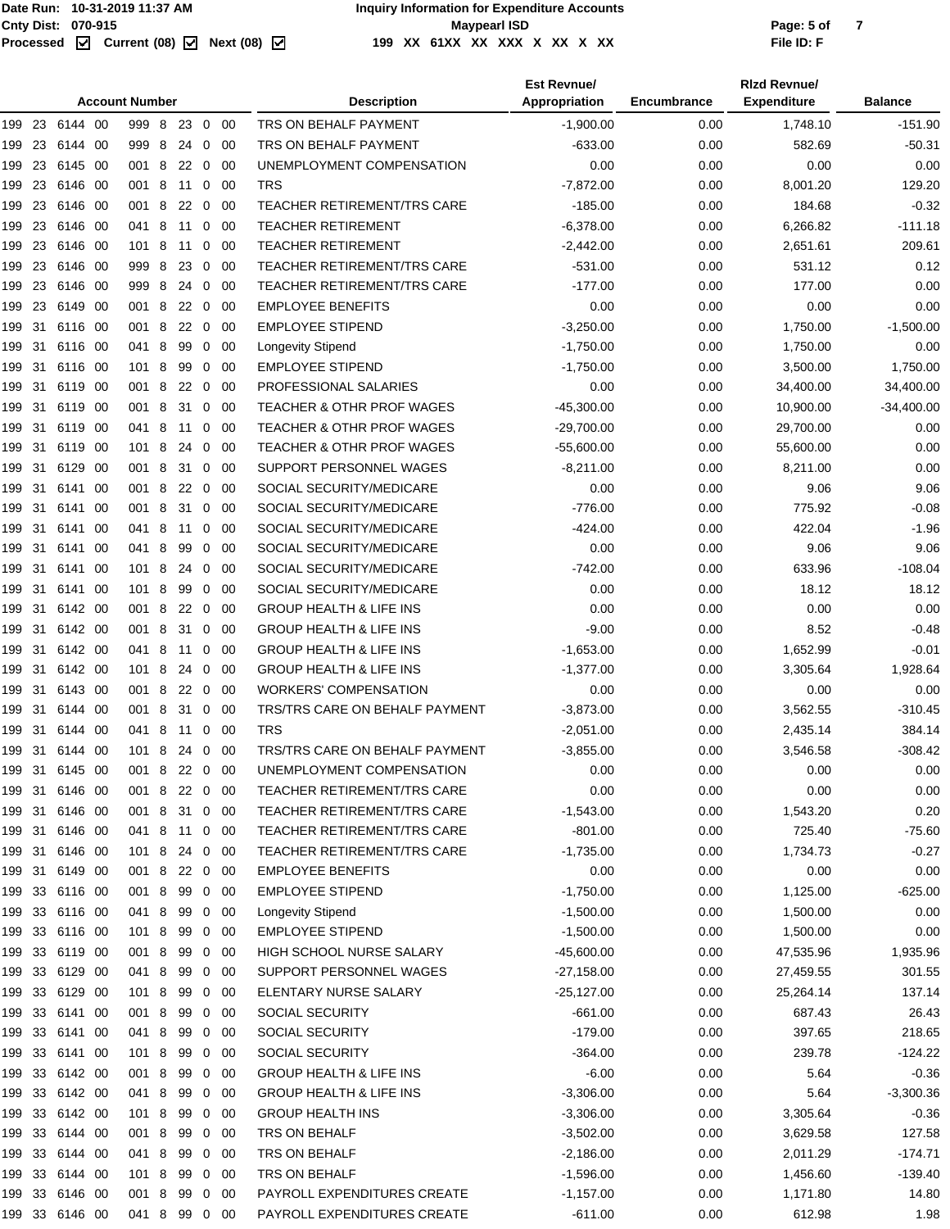|        |        |                |      | <b>Account Number</b> |   |          |                |                           | <b>Description</b>                                            | <b>Est Revnue/</b><br>Appropriation | Encumbrance  | <b>Rizd Revnue/</b><br><b>Expenditure</b> | <b>Balance</b>         |
|--------|--------|----------------|------|-----------------------|---|----------|----------------|---------------------------|---------------------------------------------------------------|-------------------------------------|--------------|-------------------------------------------|------------------------|
|        |        | 199 23 6144 00 |      | 999 8                 |   | 23 0 00  |                |                           | TRS ON BEHALF PAYMENT                                         | $-1,900.00$                         | 0.00         | 1,748.10                                  | $-151.90$              |
| 199 23 |        | 6144 00        |      | 999 8                 |   | 24 0     |                | -00                       | TRS ON BEHALF PAYMENT                                         | $-633.00$                           | 0.00         | 582.69                                    | $-50.31$               |
| 199 23 |        | 6145 00        |      | 001 8                 |   | 22       | $\overline{0}$ | -00                       | UNEMPLOYMENT COMPENSATION                                     | 0.00                                | 0.00         | 0.00                                      | 0.00                   |
| 199 23 |        | 6146 00        |      | 001 8 11              |   |          | $\mathbf 0$    | -00                       | <b>TRS</b>                                                    | $-7,872.00$                         | 0.00         | 8,001.20                                  | 129.20                 |
| 199 23 |        | 6146 00        |      | 001 8 22 0            |   |          |                | - 00                      | <b>TEACHER RETIREMENT/TRS CARE</b>                            | $-185.00$                           | 0.00         | 184.68                                    | $-0.32$                |
| 199    | 23     | 6146 00        |      | 041 8                 |   | 11       | $\mathbf 0$    | -00                       | <b>TEACHER RETIREMENT</b>                                     | $-6,378.00$                         | 0.00         | 6,266.82                                  | $-111.18$              |
| 199    | 23     | 6146 00        |      | 101 8                 |   | 11       | 0              | 00                        | <b>TEACHER RETIREMENT</b>                                     | $-2,442.00$                         | 0.00         | 2,651.61                                  | 209.61                 |
| 199 23 |        | 6146 00        |      | 999 8                 |   | 23       | $\mathbf 0$    | -00                       | <b>TEACHER RETIREMENT/TRS CARE</b>                            | $-531.00$                           | 0.00         | 531.12                                    | 0.12                   |
| 199    | 23     | 6146 00        |      | 999 8                 |   | 24       | $\mathbf 0$    | -00                       | <b>TEACHER RETIREMENT/TRS CARE</b>                            | $-177.00$                           | 0.00         | 177.00                                    | 0.00                   |
| 199 23 |        | 6149 00        |      | 001 8                 |   | 22 0     |                | 00                        | <b>EMPLOYEE BENEFITS</b>                                      | 0.00                                | 0.00         | 0.00                                      | 0.00                   |
| 199 31 |        | 6116 00        |      | 001 8                 |   | 22       | $\mathbf 0$    | -00                       | <b>EMPLOYEE STIPEND</b>                                       | $-3,250.00$                         | 0.00         | 1,750.00                                  | $-1,500.00$            |
| 199    | 31     | 6116 00        |      | 041                   | 8 | 99       | 0              | -00                       | <b>Longevity Stipend</b>                                      | $-1,750.00$                         | 0.00         | 1,750.00                                  | 0.00                   |
| 199    | 31     | 6116 00        |      | 101 8                 |   | 99       | 0              | -00                       | <b>EMPLOYEE STIPEND</b>                                       | $-1,750.00$                         | 0.00         | 3,500.00                                  | 1,750.00               |
| 199    | 31     | 6119 00        |      | 001 8                 |   | 22       | $\overline{0}$ | -00                       | PROFESSIONAL SALARIES                                         | 0.00                                | 0.00         | 34,400.00                                 | 34,400.00              |
| 199    | 31     | 6119 00        |      | 001 8                 |   | 31       | $\mathbf 0$    | -00                       | <b>TEACHER &amp; OTHR PROF WAGES</b>                          | $-45,300.00$                        | 0.00         | 10,900.00                                 | $-34,400.00$           |
| 199    | 31     | 6119 00        |      | 041 8                 |   | 11       | 0              | 00                        | <b>TEACHER &amp; OTHR PROF WAGES</b>                          | $-29,700.00$                        | 0.00         | 29,700.00                                 | 0.00                   |
| 199    | 31     | 6119 00        |      | 101 8                 |   | 24       | $\mathbf 0$    | -00                       | <b>TEACHER &amp; OTHR PROF WAGES</b>                          | $-55,600.00$                        | 0.00         | 55,600.00                                 | 0.00                   |
| 199    | 31     | 6129           | - 00 | 001 8                 |   | 31       | 0              | -00                       | SUPPORT PERSONNEL WAGES                                       | $-8,211.00$                         | 0.00         | 8,211.00                                  | 0.00                   |
| 199    | -31    | 6141           | - 00 | 001 8                 |   | 22       | $\overline{0}$ | 00                        | SOCIAL SECURITY/MEDICARE                                      | 0.00                                | 0.00         | 9.06                                      | 9.06                   |
| 199 31 |        | 6141 00        |      | 001 8                 |   | -31      | $\mathbf{0}$   | -00                       | SOCIAL SECURITY/MEDICARE                                      | $-776.00$                           | 0.00         | 775.92                                    | $-0.08$                |
| 199 31 |        | 6141 00        |      | 041 8                 |   | 11       | 0              | -00                       | SOCIAL SECURITY/MEDICARE                                      | $-424.00$                           | 0.00         | 422.04                                    | $-1.96$                |
| 199 31 |        | 6141 00        |      | 041 8                 |   | 99       | 0              | 00                        | SOCIAL SECURITY/MEDICARE                                      | 0.00                                | 0.00         | 9.06                                      | 9.06                   |
| 199 31 |        | 6141           | - 00 | 101 8                 |   | 24       | $\mathbf 0$    | -00                       | SOCIAL SECURITY/MEDICARE                                      | $-742.00$                           | 0.00         | 633.96                                    | $-108.04$              |
| 199    | 31     | 6141           | -00  | 101 8                 |   | 99       | 0              | 00                        | SOCIAL SECURITY/MEDICARE                                      | 0.00                                | 0.00         | 18.12                                     | 18.12                  |
| 199    | 31     | 6142 00        |      | 001 8                 |   | 22       | 0              | -00                       | <b>GROUP HEALTH &amp; LIFE INS</b>                            | 0.00                                | 0.00         | 0.00                                      | 0.00                   |
| 199    | 31     | 6142 00        |      | 001 8                 |   | 31       | 0              | -00                       | <b>GROUP HEALTH &amp; LIFE INS</b>                            | $-9.00$                             | 0.00         | 8.52                                      | $-0.48$                |
| 199    | 31     | 6142 00        |      | 041 8                 |   | 11       | 0              | -00                       | <b>GROUP HEALTH &amp; LIFE INS</b>                            | $-1,653.00$                         | 0.00         | 1,652.99                                  | $-0.01$                |
| 199    | 31     | 6142 00        |      | 101 8                 |   | 24       | $\mathbf 0$    | 00                        | <b>GROUP HEALTH &amp; LIFE INS</b>                            | $-1,377.00$                         | 0.00         | 3,305.64                                  | 1,928.64               |
| 199    | 31     | 6143 00        |      | 001 8                 |   | 22 0     |                | -00                       | <b>WORKERS' COMPENSATION</b>                                  | 0.00                                | 0.00         | 0.00                                      | 0.00                   |
| 199    | 31     | 6144 00        |      | 001 8                 |   | 31       | 0              | -00                       | TRS/TRS CARE ON BEHALF PAYMENT                                | $-3,873.00$                         | 0.00         | 3,562.55                                  | $-310.45$              |
| 199    | -31    | 6144 00        |      | 041 8                 |   | 11       | 0              | -00                       | <b>TRS</b>                                                    | $-2,051.00$                         | 0.00         | 2,435.14                                  | 384.14                 |
|        |        | 199 31 6144 00 |      | 101 8 24 0 00         |   |          |                |                           | TRS/TRS CARE ON BEHALF PAYMENT                                | $-3,855.00$                         | 0.00         | 3,546.58                                  | $-308.42$              |
|        |        | 6145 00        |      |                       |   |          |                |                           | UNEMPLOYMENT COMPENSATION                                     |                                     |              |                                           |                        |
| 199    | 31     | 199 31 6146 00 |      | 001<br>001 8 22 0 00  | 8 | 22 0     |                | -00                       | TEACHER RETIREMENT/TRS CARE                                   | 0.00<br>0.00                        | 0.00<br>0.00 | 0.00<br>0.00                              | 0.00<br>0.00           |
| 199 31 |        | 6146 00        |      | 001 8 31 0 00         |   |          |                |                           | TEACHER RETIREMENT/TRS CARE                                   | $-1,543.00$                         | 0.00         | 1,543.20                                  | 0.20                   |
| 199 31 |        | 6146 00        |      | 041 8                 |   | - 11     |                | $0\quad 00$               | TEACHER RETIREMENT/TRS CARE                                   | $-801.00$                           | 0.00         | 725.40                                    | $-75.60$               |
|        | 199 31 | 6146 00        |      | 101 8                 |   | 24 0 00  |                |                           | TEACHER RETIREMENT/TRS CARE                                   | $-1,735.00$                         | 0.00         | 1,734.73                                  | $-0.27$                |
| 199 31 |        | 6149 00        |      | 001 8 22 0 00         |   |          |                |                           | <b>EMPLOYEE BENEFITS</b>                                      | 0.00                                | 0.00         | 0.00                                      | 0.00                   |
|        |        | 199 33 6116 00 |      | 001 8                 |   | 99       |                | $0\quad 00$               | <b>EMPLOYEE STIPEND</b>                                       | $-1,750.00$                         | 0.00         | 1,125.00                                  | $-625.00$              |
|        |        | 199 33 6116 00 |      | 041 8                 |   | 99       |                | $0\quad00$                | Longevity Stipend                                             | $-1,500.00$                         | 0.00         | 1,500.00                                  | 0.00                   |
|        |        | 199 33 6116 00 |      | 1018                  |   | 99       |                | $0\quad 00$               | <b>EMPLOYEE STIPEND</b>                                       | $-1,500.00$                         | 0.00         | 1,500.00                                  | 0.00                   |
|        | 199 33 | 6119 00        |      | 001 8                 |   | 99       | 0              | -00                       | HIGH SCHOOL NURSE SALARY                                      | $-45,600.00$                        | 0.00         | 47,535.96                                 | 1,935.96               |
|        |        | 199 33 6129 00 |      | 041 8                 |   | 99       | $\mathbf{0}$   | -00                       | SUPPORT PERSONNEL WAGES                                       | $-27,158.00$                        | 0.00         | 27,459.55                                 | 301.55                 |
|        |        | 199 33 6129 00 |      | 1018                  |   | 99       |                | $0\quad 00$               | ELENTARY NURSE SALARY                                         | $-25,127.00$                        | 0.00         | 25,264.14                                 | 137.14                 |
|        |        | 199 33 6141 00 |      | 001 8                 |   | 99       |                | $0\quad 00$               | SOCIAL SECURITY                                               | $-661.00$                           | 0.00         | 687.43                                    | 26.43                  |
|        |        | 199 33 6141 00 |      | 041 8                 |   |          |                |                           | SOCIAL SECURITY                                               | $-179.00$                           |              | 397.65                                    | 218.65                 |
|        |        | 199 33 6141 00 |      |                       |   | 99       |                | $0\quad 00$               | SOCIAL SECURITY                                               |                                     | 0.00<br>0.00 |                                           | $-124.22$              |
|        |        | 199 33 6142 00 |      | 1018<br>001 8         |   | 99<br>99 |                | $0\quad 00$               | <b>GROUP HEALTH &amp; LIFE INS</b>                            | -364.00<br>$-6.00$                  | 0.00         | 239.78                                    | $-0.36$                |
|        |        | 199 33 6142 00 |      | 041 8                 |   | 99       |                | $0\quad 00$<br>$0\quad00$ |                                                               | $-3,306.00$                         | 0.00         | 5.64                                      |                        |
|        |        | 199 33 6142 00 |      | 1018                  |   | 99       |                | $0\quad 00$               | <b>GROUP HEALTH &amp; LIFE INS</b><br><b>GROUP HEALTH INS</b> | $-3,306.00$                         | 0.00         | 5.64<br>3,305.64                          | $-3,300.36$<br>$-0.36$ |
|        |        | 199 33 6144 00 |      | 001 8                 |   | 99       |                | $0\quad 00$               | TRS ON BEHALF                                                 | $-3,502.00$                         | 0.00         | 3,629.58                                  | 127.58                 |
|        |        | 199 33 6144 00 |      | 041 8                 |   | 99       |                | $0\quad 00$               | TRS ON BEHALF                                                 | $-2,186.00$                         | 0.00         | 2,011.29                                  | $-174.71$              |
|        |        | 199 33 6144 00 |      | 1018                  |   | 99       | $\overline{0}$ | - 00                      | TRS ON BEHALF                                                 | $-1,596.00$                         | 0.00         | 1,456.60                                  | -139.40                |
|        | 199 33 | 6146 00        |      | 001 8                 |   | 99       | $\mathbf 0$    | -00                       | PAYROLL EXPENDITURES CREATE                                   | $-1,157.00$                         | 0.00         | 1,171.80                                  | 14.80                  |
|        |        | 199 33 6146 00 |      | 041 8 99 0 00         |   |          |                |                           | PAYROLL EXPENDITURES CREATE                                   | $-611.00$                           | 0.00         | 612.98                                    | 1.98                   |
|        |        |                |      |                       |   |          |                |                           |                                                               |                                     |              |                                           |                        |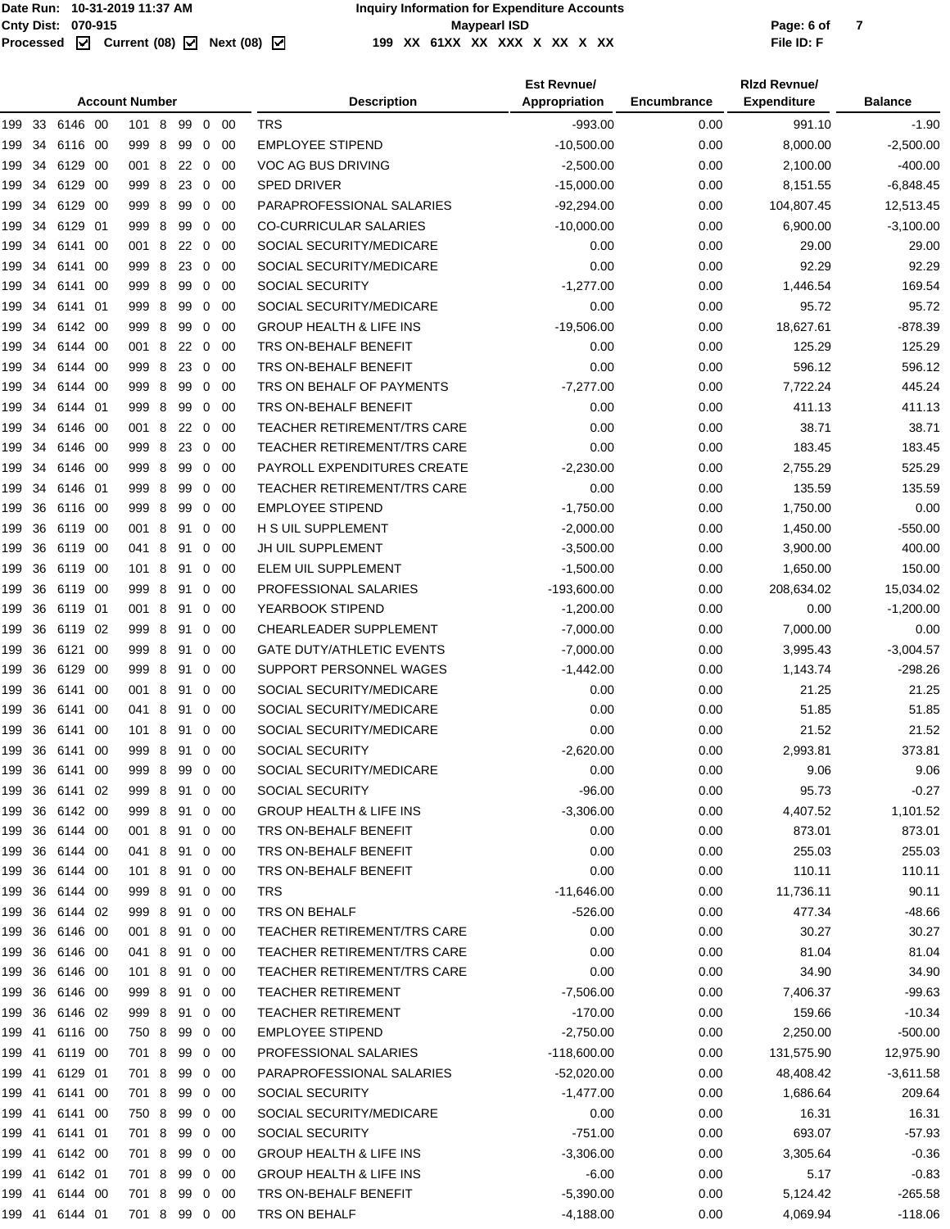| 199 33 6146 00<br><b>TRS</b><br>$-993.00$<br>991.10<br>$-1.90$<br>101 8<br>99 0 00<br>0.00<br>999 8<br>00<br><b>EMPLOYEE STIPEND</b><br>$-10,500.00$<br>0.00<br>8,000.00<br>$-2,500.00$<br>199<br>34<br>6116<br>-00<br>99<br>0<br>6129<br>001 8<br>VOC AG BUS DRIVING<br>$-2,500.00$<br>0.00<br>$-400.00$<br>34<br>- 00<br>22 0<br>-00<br>2,100.00<br>199<br>34<br>6129<br>- 00<br>999 8<br>23<br>$\overline{0}$<br>00<br><b>SPED DRIVER</b><br>$-15,000.00$<br>0.00<br>$-6,848.45$<br>199<br>8,151.55<br>34<br>6129<br>999 8<br>$\mathbf 0$<br>PARAPROFESSIONAL SALARIES<br>$-92,294.00$<br>0.00<br>104,807.45<br>12,513.45<br>199<br>- 00<br>99<br>-00<br>199 34<br>6129 01<br>999 8<br>99<br>$\mathbf 0$<br>00<br><b>CO-CURRICULAR SALARIES</b><br>$-10,000.00$<br>0.00<br>6,900.00<br>$-3,100.00$<br>34<br>6141<br>-00<br>001 8<br>$\mathbf 0$<br>00<br>SOCIAL SECURITY/MEDICARE<br>0.00<br>0.00<br>29.00<br>29.00<br>199<br>22<br>- 8<br>SOCIAL SECURITY/MEDICARE<br>0.00<br>0.00<br>92.29<br>92.29<br>199<br>34<br>6141<br>-00<br>999<br>23<br>0<br>-00<br><b>SOCIAL SECURITY</b><br>999 8<br>99<br>$\mathbf 0$<br>-00<br>$-1,277.00$<br>0.00<br>1,446.54<br>169.54<br>199<br>34<br>6141<br>-00<br>34<br>6141<br>8<br>99<br>0<br>00<br>SOCIAL SECURITY/MEDICARE<br>0.00<br>0.00<br>95.72<br>95.72<br>199<br>01<br>999<br>$-878.39$<br>34<br>6142 00<br>999 8<br>99<br>$\mathbf 0$<br>00<br><b>GROUP HEALTH &amp; LIFE INS</b><br>$-19,506.00$<br>0.00<br>18,627.61<br>199<br>0.00<br>125.29<br>125.29<br>34<br>6144 00<br>001 8<br>22<br>$\mathbf 0$<br>00<br>TRS ON-BEHALF BENEFIT<br>0.00<br>199<br>6144<br>-00<br>999 8<br>23<br>0<br>00<br>TRS ON-BEHALF BENEFIT<br>0.00<br>0.00<br>596.12<br>596.12<br>199<br>34<br>8<br>99<br>00<br>TRS ON BEHALF OF PAYMENTS<br>$-7,277.00$<br>0.00<br>7,722.24<br>445.24<br>199<br>34<br>6144<br>-00<br>999<br>0<br>6144 01<br>999 8<br>99<br>$\mathbf 0$<br>00<br>TRS ON-BEHALF BENEFIT<br>0.00<br>0.00<br>411.13<br>411.13<br>199<br>34<br>34<br>6146<br>001 8<br>22<br>0<br>00<br><b>TEACHER RETIREMENT/TRS CARE</b><br>0.00<br>0.00<br>38.71<br>38.71<br>199<br>- 00<br>34<br>8<br>23<br>$\overline{0}$<br><b>TEACHER RETIREMENT/TRS CARE</b><br>0.00<br>0.00<br>183.45<br>183.45<br>199<br>6146 00<br>999<br>-00<br>PAYROLL EXPENDITURES CREATE<br>34<br>6146 00<br>999 8<br>99<br>$\mathbf 0$<br>-00<br>$-2,230.00$<br>0.00<br>2,755.29<br>525.29<br>199<br>34<br>6146 01<br>-8<br>99<br>0<br><b>TEACHER RETIREMENT/TRS CARE</b><br>0.00<br>0.00<br>135.59<br>135.59<br>199<br>999<br>-00<br><b>EMPLOYEE STIPEND</b><br>999 8<br>00<br>0.00<br>1,750.00<br>199<br>36<br>6116<br>- 00<br>99<br>0<br>$-1,750.00$<br>0.00<br>36<br>001 8<br>-00<br>H S UIL SUPPLEMENT<br>$-2,000.00$<br>0.00<br>1,450.00<br>$-550.00$<br>6119 00<br>91<br>0<br>199<br>36<br>6119<br>041 8<br>0<br>00<br>JH UIL SUPPLEMENT<br>$-3,500.00$<br>0.00<br>3,900.00<br>400.00<br>199<br>- 00<br>91<br>36<br>101 8<br>ELEM UIL SUPPLEMENT<br>$-1,500.00$<br>0.00<br>1,650.00<br>150.00<br>199<br>6119 00<br>91<br>0<br>-00<br>$-193,600.00$<br>15,034.02<br>36<br>6119 00<br>999 8<br>91<br>$\mathbf 0$<br>00<br>PROFESSIONAL SALARIES<br>0.00<br>208,634.02<br>199<br>36<br>6119<br>01<br>001 8<br>91<br>YEARBOOK STIPEND<br>$-1,200.00$<br>0.00<br>$-1,200.00$<br>199<br>0<br>-00<br>0.00<br>- 8<br>00<br>CHEARLEADER SUPPLEMENT<br>$-7,000.00$<br>0.00<br>7,000.00<br>0.00<br>199<br>36<br>6119<br>02<br>999<br>91<br>0<br>36<br>6121<br>00<br>999 8<br>91<br>0<br>00<br><b>GATE DUTY/ATHLETIC EVENTS</b><br>$-7,000.00$<br>0.00<br>$-3,004.57$<br>199<br>3,995.43<br>36<br>6129<br>- 00<br>999<br>8<br>91<br>0<br>00<br>SUPPORT PERSONNEL WAGES<br>$-1,442.00$<br>0.00<br>1,143.74<br>$-298.26$<br>199<br>SOCIAL SECURITY/MEDICARE<br>36<br>001 8<br>0<br>0.00<br>0.00<br>21.25<br>21.25<br>199<br>6141 00<br>91<br>-00<br>SOCIAL SECURITY/MEDICARE<br>36<br>6141<br>-00<br>041 8<br>$\mathbf 0$<br>-00<br>0.00<br>0.00<br>51.85<br>51.85<br>199<br>91<br>36<br>6141<br>101 8<br>SOCIAL SECURITY/MEDICARE<br>0.00<br>0.00<br>21.52<br>21.52<br>199<br>-00<br>91<br>0<br>-00<br><b>SOCIAL SECURITY</b><br>199 36<br>999 8 91 0<br>0.00<br>2,993.81<br>373.81<br>6141 00<br>- 00<br>$-2,620.00$<br>199 36<br>6141 00<br>999 8 99 0<br>SOCIAL SECURITY/MEDICARE<br>0.00<br>0.00<br>9.06<br>9.06<br>00<br>SOCIAL SECURITY<br>0.00<br>95.73<br>$-0.27$<br>199 36<br>6141 02<br>999<br>- 8<br>91<br>0<br>-00<br>-96.00<br>199 36<br>6142 00<br>999 8<br>91 0 00<br><b>GROUP HEALTH &amp; LIFE INS</b><br>$-3,306.00$<br>0.00<br>4,407.52<br>1,101.52<br>199 36<br>6144 00<br>001 8 91 0 00<br>TRS ON-BEHALF BENEFIT<br>0.00<br>0.00<br>873.01<br>873.01<br>199 36<br>6144 00<br>041 8<br>TRS ON-BEHALF BENEFIT<br>0.00<br>0.00<br>255.03<br>255.03<br>91<br>$0\quad 00$<br>199 36<br>TRS ON-BEHALF BENEFIT<br>0.00<br>0.00<br>110.11<br>110.11<br>6144 00<br>101 8<br>91 0<br>- 00<br>199 36<br>999 8 91 0 00<br><b>TRS</b><br>$-11,646.00$<br>0.00<br>11,736.11<br>90.11<br>6144 00<br>199 36<br>6144 02<br>999 8<br>$\mathbf 0$<br>TRS ON BEHALF<br>$-526.00$<br>0.00<br>477.34<br>$-48.66$<br>91<br>- 00<br>199 36<br>6146 00<br>001 8<br>91 0<br>TEACHER RETIREMENT/TRS CARE<br>0.00<br>0.00<br>30.27<br>30.27<br>- 00<br>81.04<br>199 36<br>6146 00<br>041 8 91 0 00<br><b>TEACHER RETIREMENT/TRS CARE</b><br>0.00<br>0.00<br>81.04<br>199 36<br>6146 00<br>101 8<br><b>TEACHER RETIREMENT/TRS CARE</b><br>0.00<br>0.00<br>34.90<br>34.90<br>91<br>0<br>- 00<br>36<br><b>TEACHER RETIREMENT</b><br>0.00<br>$-99.63$<br>199<br>6146 00<br>999 8<br>91<br>0<br>-00<br>$-7,506.00$<br>7,406.37<br>199 36<br>6146 02<br>999 8 91 0<br><b>TEACHER RETIREMENT</b><br>$-170.00$<br>0.00<br>159.66<br>- 00<br>$-10.34$<br>199 41<br>6116 00<br>750 8<br>99<br>$\overline{\mathbf{0}}$<br><b>EMPLOYEE STIPEND</b><br>$-2,750.00$<br>0.00<br>$-500.00$<br>- 00<br>2,250.00<br>6119 00<br>701 8<br>PROFESSIONAL SALARIES<br>0.00<br>12,975.90<br>199 41<br>99<br>$0\quad 00$<br>$-118,600.00$<br>131,575.90<br>199 41<br>6129 01<br>701 8 99<br>PARAPROFESSIONAL SALARIES<br>0.00<br>$-3,611.58$<br>$0\quad00$<br>$-52,020.00$<br>48,408.42<br>199 41<br>6141 00<br>701 8<br>SOCIAL SECURITY<br>0.00<br>1,686.64<br>209.64<br>99<br>$0\quad 00$<br>$-1,477.00$<br>SOCIAL SECURITY/MEDICARE<br>0.00<br>0.00<br>16.31<br>16.31<br>199 41<br>6141 00<br>750 8<br>99<br>$\overline{0}$<br>- 00<br>693.07<br>701 8 99 0 00<br>SOCIAL SECURITY<br>$-751.00$<br>0.00<br>199 41<br>6141 01<br>$-57.93$<br>6142 00<br>701 8<br>$0\quad 00$<br><b>GROUP HEALTH &amp; LIFE INS</b><br>$-3,306.00$<br>0.00<br>3,305.64<br>$-0.36$<br>199 41<br>99<br>6142 01<br>701 8<br>$0\quad 00$<br><b>GROUP HEALTH &amp; LIFE INS</b><br>$-6.00$<br>0.00<br>5.17<br>$-0.83$<br>199 41<br>99<br>199 41<br>6144 00<br>701 8 99 0 00<br>TRS ON-BEHALF BENEFIT<br>$-5,390.00$<br>0.00<br>5,124.42<br>$-265.58$<br>199 41 6144 01<br>701 8 99 0 00<br>TRS ON BEHALF<br>$-4,188.00$<br>0.00<br>4,069.94<br>$-118.06$ |  |  | <b>Account Number</b> |  |  | <b>Description</b> | <b>Est Revnue/</b><br>Appropriation | Encumbrance | <b>Rizd Revnue/</b><br><b>Expenditure</b> | <b>Balance</b> |
|----------------------------------------------------------------------------------------------------------------------------------------------------------------------------------------------------------------------------------------------------------------------------------------------------------------------------------------------------------------------------------------------------------------------------------------------------------------------------------------------------------------------------------------------------------------------------------------------------------------------------------------------------------------------------------------------------------------------------------------------------------------------------------------------------------------------------------------------------------------------------------------------------------------------------------------------------------------------------------------------------------------------------------------------------------------------------------------------------------------------------------------------------------------------------------------------------------------------------------------------------------------------------------------------------------------------------------------------------------------------------------------------------------------------------------------------------------------------------------------------------------------------------------------------------------------------------------------------------------------------------------------------------------------------------------------------------------------------------------------------------------------------------------------------------------------------------------------------------------------------------------------------------------------------------------------------------------------------------------------------------------------------------------------------------------------------------------------------------------------------------------------------------------------------------------------------------------------------------------------------------------------------------------------------------------------------------------------------------------------------------------------------------------------------------------------------------------------------------------------------------------------------------------------------------------------------------------------------------------------------------------------------------------------------------------------------------------------------------------------------------------------------------------------------------------------------------------------------------------------------------------------------------------------------------------------------------------------------------------------------------------------------------------------------------------------------------------------------------------------------------------------------------------------------------------------------------------------------------------------------------------------------------------------------------------------------------------------------------------------------------------------------------------------------------------------------------------------------------------------------------------------------------------------------------------------------------------------------------------------------------------------------------------------------------------------------------------------------------------------------------------------------------------------------------------------------------------------------------------------------------------------------------------------------------------------------------------------------------------------------------------------------------------------------------------------------------------------------------------------------------------------------------------------------------------------------------------------------------------------------------------------------------------------------------------------------------------------------------------------------------------------------------------------------------------------------------------------------------------------------------------------------------------------------------------------------------------------------------------------------------------------------------------------------------------------------------------------------------------------------------------------------------------------------------------------------------------------------------------------------------------------------------------------------------------------------------------------------------------------------------------------------------------------------------------------------------------------------------------------------------------------------------------------------------------------------------------------------------------------------------------------------------------------------------------------------------------------------------------------------------------------------------------------------------------------------------------------------------------------------------------------------------------------------------------------------------------------------------------------------------------------------------------------------------------------------------------------------------------------------------------------------------------------------------------------------------------------------------------------------------------------------------------------------------------------------------------------------------------------------------------------------------------------------------------------------------------------------------------------------------------------------------------------------------------------------------------------------------------------------------------------------------------------------------------------------------------------------------------------------------------------------------------------------------------------------------------------------------------------------------------------------------------------------------------------------------------------------------------------------------------------------------------------------------------------------------------------------------------------------------------------------------------------------------------------------------------------------------------------------------------------------------------------------------------------------------------------------------------------------------------|--|--|-----------------------|--|--|--------------------|-------------------------------------|-------------|-------------------------------------------|----------------|
|                                                                                                                                                                                                                                                                                                                                                                                                                                                                                                                                                                                                                                                                                                                                                                                                                                                                                                                                                                                                                                                                                                                                                                                                                                                                                                                                                                                                                                                                                                                                                                                                                                                                                                                                                                                                                                                                                                                                                                                                                                                                                                                                                                                                                                                                                                                                                                                                                                                                                                                                                                                                                                                                                                                                                                                                                                                                                                                                                                                                                                                                                                                                                                                                                                                                                                                                                                                                                                                                                                                                                                                                                                                                                                                                                                                                                                                                                                                                                                                                                                                                                                                                                                                                                                                                                                                                                                                                                                                                                                                                                                                                                                                                                                                                                                                                                                                                                                                                                                                                                                                                                                                                                                                                                                                                                                                                                                                                                                                                                                                                                                                                                                                                                                                                                                                                                                                                                                                                                                                                                                                                                                                                                                                                                                                                                                                                                                                                                                                                                                                                                                                                                                                                                                                                                                                                                                                                                                                                                                                                          |  |  |                       |  |  |                    |                                     |             |                                           |                |
|                                                                                                                                                                                                                                                                                                                                                                                                                                                                                                                                                                                                                                                                                                                                                                                                                                                                                                                                                                                                                                                                                                                                                                                                                                                                                                                                                                                                                                                                                                                                                                                                                                                                                                                                                                                                                                                                                                                                                                                                                                                                                                                                                                                                                                                                                                                                                                                                                                                                                                                                                                                                                                                                                                                                                                                                                                                                                                                                                                                                                                                                                                                                                                                                                                                                                                                                                                                                                                                                                                                                                                                                                                                                                                                                                                                                                                                                                                                                                                                                                                                                                                                                                                                                                                                                                                                                                                                                                                                                                                                                                                                                                                                                                                                                                                                                                                                                                                                                                                                                                                                                                                                                                                                                                                                                                                                                                                                                                                                                                                                                                                                                                                                                                                                                                                                                                                                                                                                                                                                                                                                                                                                                                                                                                                                                                                                                                                                                                                                                                                                                                                                                                                                                                                                                                                                                                                                                                                                                                                                                          |  |  |                       |  |  |                    |                                     |             |                                           |                |
|                                                                                                                                                                                                                                                                                                                                                                                                                                                                                                                                                                                                                                                                                                                                                                                                                                                                                                                                                                                                                                                                                                                                                                                                                                                                                                                                                                                                                                                                                                                                                                                                                                                                                                                                                                                                                                                                                                                                                                                                                                                                                                                                                                                                                                                                                                                                                                                                                                                                                                                                                                                                                                                                                                                                                                                                                                                                                                                                                                                                                                                                                                                                                                                                                                                                                                                                                                                                                                                                                                                                                                                                                                                                                                                                                                                                                                                                                                                                                                                                                                                                                                                                                                                                                                                                                                                                                                                                                                                                                                                                                                                                                                                                                                                                                                                                                                                                                                                                                                                                                                                                                                                                                                                                                                                                                                                                                                                                                                                                                                                                                                                                                                                                                                                                                                                                                                                                                                                                                                                                                                                                                                                                                                                                                                                                                                                                                                                                                                                                                                                                                                                                                                                                                                                                                                                                                                                                                                                                                                                                          |  |  |                       |  |  |                    |                                     |             |                                           |                |
|                                                                                                                                                                                                                                                                                                                                                                                                                                                                                                                                                                                                                                                                                                                                                                                                                                                                                                                                                                                                                                                                                                                                                                                                                                                                                                                                                                                                                                                                                                                                                                                                                                                                                                                                                                                                                                                                                                                                                                                                                                                                                                                                                                                                                                                                                                                                                                                                                                                                                                                                                                                                                                                                                                                                                                                                                                                                                                                                                                                                                                                                                                                                                                                                                                                                                                                                                                                                                                                                                                                                                                                                                                                                                                                                                                                                                                                                                                                                                                                                                                                                                                                                                                                                                                                                                                                                                                                                                                                                                                                                                                                                                                                                                                                                                                                                                                                                                                                                                                                                                                                                                                                                                                                                                                                                                                                                                                                                                                                                                                                                                                                                                                                                                                                                                                                                                                                                                                                                                                                                                                                                                                                                                                                                                                                                                                                                                                                                                                                                                                                                                                                                                                                                                                                                                                                                                                                                                                                                                                                                          |  |  |                       |  |  |                    |                                     |             |                                           |                |
|                                                                                                                                                                                                                                                                                                                                                                                                                                                                                                                                                                                                                                                                                                                                                                                                                                                                                                                                                                                                                                                                                                                                                                                                                                                                                                                                                                                                                                                                                                                                                                                                                                                                                                                                                                                                                                                                                                                                                                                                                                                                                                                                                                                                                                                                                                                                                                                                                                                                                                                                                                                                                                                                                                                                                                                                                                                                                                                                                                                                                                                                                                                                                                                                                                                                                                                                                                                                                                                                                                                                                                                                                                                                                                                                                                                                                                                                                                                                                                                                                                                                                                                                                                                                                                                                                                                                                                                                                                                                                                                                                                                                                                                                                                                                                                                                                                                                                                                                                                                                                                                                                                                                                                                                                                                                                                                                                                                                                                                                                                                                                                                                                                                                                                                                                                                                                                                                                                                                                                                                                                                                                                                                                                                                                                                                                                                                                                                                                                                                                                                                                                                                                                                                                                                                                                                                                                                                                                                                                                                                          |  |  |                       |  |  |                    |                                     |             |                                           |                |
|                                                                                                                                                                                                                                                                                                                                                                                                                                                                                                                                                                                                                                                                                                                                                                                                                                                                                                                                                                                                                                                                                                                                                                                                                                                                                                                                                                                                                                                                                                                                                                                                                                                                                                                                                                                                                                                                                                                                                                                                                                                                                                                                                                                                                                                                                                                                                                                                                                                                                                                                                                                                                                                                                                                                                                                                                                                                                                                                                                                                                                                                                                                                                                                                                                                                                                                                                                                                                                                                                                                                                                                                                                                                                                                                                                                                                                                                                                                                                                                                                                                                                                                                                                                                                                                                                                                                                                                                                                                                                                                                                                                                                                                                                                                                                                                                                                                                                                                                                                                                                                                                                                                                                                                                                                                                                                                                                                                                                                                                                                                                                                                                                                                                                                                                                                                                                                                                                                                                                                                                                                                                                                                                                                                                                                                                                                                                                                                                                                                                                                                                                                                                                                                                                                                                                                                                                                                                                                                                                                                                          |  |  |                       |  |  |                    |                                     |             |                                           |                |
|                                                                                                                                                                                                                                                                                                                                                                                                                                                                                                                                                                                                                                                                                                                                                                                                                                                                                                                                                                                                                                                                                                                                                                                                                                                                                                                                                                                                                                                                                                                                                                                                                                                                                                                                                                                                                                                                                                                                                                                                                                                                                                                                                                                                                                                                                                                                                                                                                                                                                                                                                                                                                                                                                                                                                                                                                                                                                                                                                                                                                                                                                                                                                                                                                                                                                                                                                                                                                                                                                                                                                                                                                                                                                                                                                                                                                                                                                                                                                                                                                                                                                                                                                                                                                                                                                                                                                                                                                                                                                                                                                                                                                                                                                                                                                                                                                                                                                                                                                                                                                                                                                                                                                                                                                                                                                                                                                                                                                                                                                                                                                                                                                                                                                                                                                                                                                                                                                                                                                                                                                                                                                                                                                                                                                                                                                                                                                                                                                                                                                                                                                                                                                                                                                                                                                                                                                                                                                                                                                                                                          |  |  |                       |  |  |                    |                                     |             |                                           |                |
|                                                                                                                                                                                                                                                                                                                                                                                                                                                                                                                                                                                                                                                                                                                                                                                                                                                                                                                                                                                                                                                                                                                                                                                                                                                                                                                                                                                                                                                                                                                                                                                                                                                                                                                                                                                                                                                                                                                                                                                                                                                                                                                                                                                                                                                                                                                                                                                                                                                                                                                                                                                                                                                                                                                                                                                                                                                                                                                                                                                                                                                                                                                                                                                                                                                                                                                                                                                                                                                                                                                                                                                                                                                                                                                                                                                                                                                                                                                                                                                                                                                                                                                                                                                                                                                                                                                                                                                                                                                                                                                                                                                                                                                                                                                                                                                                                                                                                                                                                                                                                                                                                                                                                                                                                                                                                                                                                                                                                                                                                                                                                                                                                                                                                                                                                                                                                                                                                                                                                                                                                                                                                                                                                                                                                                                                                                                                                                                                                                                                                                                                                                                                                                                                                                                                                                                                                                                                                                                                                                                                          |  |  |                       |  |  |                    |                                     |             |                                           |                |
|                                                                                                                                                                                                                                                                                                                                                                                                                                                                                                                                                                                                                                                                                                                                                                                                                                                                                                                                                                                                                                                                                                                                                                                                                                                                                                                                                                                                                                                                                                                                                                                                                                                                                                                                                                                                                                                                                                                                                                                                                                                                                                                                                                                                                                                                                                                                                                                                                                                                                                                                                                                                                                                                                                                                                                                                                                                                                                                                                                                                                                                                                                                                                                                                                                                                                                                                                                                                                                                                                                                                                                                                                                                                                                                                                                                                                                                                                                                                                                                                                                                                                                                                                                                                                                                                                                                                                                                                                                                                                                                                                                                                                                                                                                                                                                                                                                                                                                                                                                                                                                                                                                                                                                                                                                                                                                                                                                                                                                                                                                                                                                                                                                                                                                                                                                                                                                                                                                                                                                                                                                                                                                                                                                                                                                                                                                                                                                                                                                                                                                                                                                                                                                                                                                                                                                                                                                                                                                                                                                                                          |  |  |                       |  |  |                    |                                     |             |                                           |                |
|                                                                                                                                                                                                                                                                                                                                                                                                                                                                                                                                                                                                                                                                                                                                                                                                                                                                                                                                                                                                                                                                                                                                                                                                                                                                                                                                                                                                                                                                                                                                                                                                                                                                                                                                                                                                                                                                                                                                                                                                                                                                                                                                                                                                                                                                                                                                                                                                                                                                                                                                                                                                                                                                                                                                                                                                                                                                                                                                                                                                                                                                                                                                                                                                                                                                                                                                                                                                                                                                                                                                                                                                                                                                                                                                                                                                                                                                                                                                                                                                                                                                                                                                                                                                                                                                                                                                                                                                                                                                                                                                                                                                                                                                                                                                                                                                                                                                                                                                                                                                                                                                                                                                                                                                                                                                                                                                                                                                                                                                                                                                                                                                                                                                                                                                                                                                                                                                                                                                                                                                                                                                                                                                                                                                                                                                                                                                                                                                                                                                                                                                                                                                                                                                                                                                                                                                                                                                                                                                                                                                          |  |  |                       |  |  |                    |                                     |             |                                           |                |
|                                                                                                                                                                                                                                                                                                                                                                                                                                                                                                                                                                                                                                                                                                                                                                                                                                                                                                                                                                                                                                                                                                                                                                                                                                                                                                                                                                                                                                                                                                                                                                                                                                                                                                                                                                                                                                                                                                                                                                                                                                                                                                                                                                                                                                                                                                                                                                                                                                                                                                                                                                                                                                                                                                                                                                                                                                                                                                                                                                                                                                                                                                                                                                                                                                                                                                                                                                                                                                                                                                                                                                                                                                                                                                                                                                                                                                                                                                                                                                                                                                                                                                                                                                                                                                                                                                                                                                                                                                                                                                                                                                                                                                                                                                                                                                                                                                                                                                                                                                                                                                                                                                                                                                                                                                                                                                                                                                                                                                                                                                                                                                                                                                                                                                                                                                                                                                                                                                                                                                                                                                                                                                                                                                                                                                                                                                                                                                                                                                                                                                                                                                                                                                                                                                                                                                                                                                                                                                                                                                                                          |  |  |                       |  |  |                    |                                     |             |                                           |                |
|                                                                                                                                                                                                                                                                                                                                                                                                                                                                                                                                                                                                                                                                                                                                                                                                                                                                                                                                                                                                                                                                                                                                                                                                                                                                                                                                                                                                                                                                                                                                                                                                                                                                                                                                                                                                                                                                                                                                                                                                                                                                                                                                                                                                                                                                                                                                                                                                                                                                                                                                                                                                                                                                                                                                                                                                                                                                                                                                                                                                                                                                                                                                                                                                                                                                                                                                                                                                                                                                                                                                                                                                                                                                                                                                                                                                                                                                                                                                                                                                                                                                                                                                                                                                                                                                                                                                                                                                                                                                                                                                                                                                                                                                                                                                                                                                                                                                                                                                                                                                                                                                                                                                                                                                                                                                                                                                                                                                                                                                                                                                                                                                                                                                                                                                                                                                                                                                                                                                                                                                                                                                                                                                                                                                                                                                                                                                                                                                                                                                                                                                                                                                                                                                                                                                                                                                                                                                                                                                                                                                          |  |  |                       |  |  |                    |                                     |             |                                           |                |
|                                                                                                                                                                                                                                                                                                                                                                                                                                                                                                                                                                                                                                                                                                                                                                                                                                                                                                                                                                                                                                                                                                                                                                                                                                                                                                                                                                                                                                                                                                                                                                                                                                                                                                                                                                                                                                                                                                                                                                                                                                                                                                                                                                                                                                                                                                                                                                                                                                                                                                                                                                                                                                                                                                                                                                                                                                                                                                                                                                                                                                                                                                                                                                                                                                                                                                                                                                                                                                                                                                                                                                                                                                                                                                                                                                                                                                                                                                                                                                                                                                                                                                                                                                                                                                                                                                                                                                                                                                                                                                                                                                                                                                                                                                                                                                                                                                                                                                                                                                                                                                                                                                                                                                                                                                                                                                                                                                                                                                                                                                                                                                                                                                                                                                                                                                                                                                                                                                                                                                                                                                                                                                                                                                                                                                                                                                                                                                                                                                                                                                                                                                                                                                                                                                                                                                                                                                                                                                                                                                                                          |  |  |                       |  |  |                    |                                     |             |                                           |                |
|                                                                                                                                                                                                                                                                                                                                                                                                                                                                                                                                                                                                                                                                                                                                                                                                                                                                                                                                                                                                                                                                                                                                                                                                                                                                                                                                                                                                                                                                                                                                                                                                                                                                                                                                                                                                                                                                                                                                                                                                                                                                                                                                                                                                                                                                                                                                                                                                                                                                                                                                                                                                                                                                                                                                                                                                                                                                                                                                                                                                                                                                                                                                                                                                                                                                                                                                                                                                                                                                                                                                                                                                                                                                                                                                                                                                                                                                                                                                                                                                                                                                                                                                                                                                                                                                                                                                                                                                                                                                                                                                                                                                                                                                                                                                                                                                                                                                                                                                                                                                                                                                                                                                                                                                                                                                                                                                                                                                                                                                                                                                                                                                                                                                                                                                                                                                                                                                                                                                                                                                                                                                                                                                                                                                                                                                                                                                                                                                                                                                                                                                                                                                                                                                                                                                                                                                                                                                                                                                                                                                          |  |  |                       |  |  |                    |                                     |             |                                           |                |
|                                                                                                                                                                                                                                                                                                                                                                                                                                                                                                                                                                                                                                                                                                                                                                                                                                                                                                                                                                                                                                                                                                                                                                                                                                                                                                                                                                                                                                                                                                                                                                                                                                                                                                                                                                                                                                                                                                                                                                                                                                                                                                                                                                                                                                                                                                                                                                                                                                                                                                                                                                                                                                                                                                                                                                                                                                                                                                                                                                                                                                                                                                                                                                                                                                                                                                                                                                                                                                                                                                                                                                                                                                                                                                                                                                                                                                                                                                                                                                                                                                                                                                                                                                                                                                                                                                                                                                                                                                                                                                                                                                                                                                                                                                                                                                                                                                                                                                                                                                                                                                                                                                                                                                                                                                                                                                                                                                                                                                                                                                                                                                                                                                                                                                                                                                                                                                                                                                                                                                                                                                                                                                                                                                                                                                                                                                                                                                                                                                                                                                                                                                                                                                                                                                                                                                                                                                                                                                                                                                                                          |  |  |                       |  |  |                    |                                     |             |                                           |                |
|                                                                                                                                                                                                                                                                                                                                                                                                                                                                                                                                                                                                                                                                                                                                                                                                                                                                                                                                                                                                                                                                                                                                                                                                                                                                                                                                                                                                                                                                                                                                                                                                                                                                                                                                                                                                                                                                                                                                                                                                                                                                                                                                                                                                                                                                                                                                                                                                                                                                                                                                                                                                                                                                                                                                                                                                                                                                                                                                                                                                                                                                                                                                                                                                                                                                                                                                                                                                                                                                                                                                                                                                                                                                                                                                                                                                                                                                                                                                                                                                                                                                                                                                                                                                                                                                                                                                                                                                                                                                                                                                                                                                                                                                                                                                                                                                                                                                                                                                                                                                                                                                                                                                                                                                                                                                                                                                                                                                                                                                                                                                                                                                                                                                                                                                                                                                                                                                                                                                                                                                                                                                                                                                                                                                                                                                                                                                                                                                                                                                                                                                                                                                                                                                                                                                                                                                                                                                                                                                                                                                          |  |  |                       |  |  |                    |                                     |             |                                           |                |
|                                                                                                                                                                                                                                                                                                                                                                                                                                                                                                                                                                                                                                                                                                                                                                                                                                                                                                                                                                                                                                                                                                                                                                                                                                                                                                                                                                                                                                                                                                                                                                                                                                                                                                                                                                                                                                                                                                                                                                                                                                                                                                                                                                                                                                                                                                                                                                                                                                                                                                                                                                                                                                                                                                                                                                                                                                                                                                                                                                                                                                                                                                                                                                                                                                                                                                                                                                                                                                                                                                                                                                                                                                                                                                                                                                                                                                                                                                                                                                                                                                                                                                                                                                                                                                                                                                                                                                                                                                                                                                                                                                                                                                                                                                                                                                                                                                                                                                                                                                                                                                                                                                                                                                                                                                                                                                                                                                                                                                                                                                                                                                                                                                                                                                                                                                                                                                                                                                                                                                                                                                                                                                                                                                                                                                                                                                                                                                                                                                                                                                                                                                                                                                                                                                                                                                                                                                                                                                                                                                                                          |  |  |                       |  |  |                    |                                     |             |                                           |                |
|                                                                                                                                                                                                                                                                                                                                                                                                                                                                                                                                                                                                                                                                                                                                                                                                                                                                                                                                                                                                                                                                                                                                                                                                                                                                                                                                                                                                                                                                                                                                                                                                                                                                                                                                                                                                                                                                                                                                                                                                                                                                                                                                                                                                                                                                                                                                                                                                                                                                                                                                                                                                                                                                                                                                                                                                                                                                                                                                                                                                                                                                                                                                                                                                                                                                                                                                                                                                                                                                                                                                                                                                                                                                                                                                                                                                                                                                                                                                                                                                                                                                                                                                                                                                                                                                                                                                                                                                                                                                                                                                                                                                                                                                                                                                                                                                                                                                                                                                                                                                                                                                                                                                                                                                                                                                                                                                                                                                                                                                                                                                                                                                                                                                                                                                                                                                                                                                                                                                                                                                                                                                                                                                                                                                                                                                                                                                                                                                                                                                                                                                                                                                                                                                                                                                                                                                                                                                                                                                                                                                          |  |  |                       |  |  |                    |                                     |             |                                           |                |
|                                                                                                                                                                                                                                                                                                                                                                                                                                                                                                                                                                                                                                                                                                                                                                                                                                                                                                                                                                                                                                                                                                                                                                                                                                                                                                                                                                                                                                                                                                                                                                                                                                                                                                                                                                                                                                                                                                                                                                                                                                                                                                                                                                                                                                                                                                                                                                                                                                                                                                                                                                                                                                                                                                                                                                                                                                                                                                                                                                                                                                                                                                                                                                                                                                                                                                                                                                                                                                                                                                                                                                                                                                                                                                                                                                                                                                                                                                                                                                                                                                                                                                                                                                                                                                                                                                                                                                                                                                                                                                                                                                                                                                                                                                                                                                                                                                                                                                                                                                                                                                                                                                                                                                                                                                                                                                                                                                                                                                                                                                                                                                                                                                                                                                                                                                                                                                                                                                                                                                                                                                                                                                                                                                                                                                                                                                                                                                                                                                                                                                                                                                                                                                                                                                                                                                                                                                                                                                                                                                                                          |  |  |                       |  |  |                    |                                     |             |                                           |                |
|                                                                                                                                                                                                                                                                                                                                                                                                                                                                                                                                                                                                                                                                                                                                                                                                                                                                                                                                                                                                                                                                                                                                                                                                                                                                                                                                                                                                                                                                                                                                                                                                                                                                                                                                                                                                                                                                                                                                                                                                                                                                                                                                                                                                                                                                                                                                                                                                                                                                                                                                                                                                                                                                                                                                                                                                                                                                                                                                                                                                                                                                                                                                                                                                                                                                                                                                                                                                                                                                                                                                                                                                                                                                                                                                                                                                                                                                                                                                                                                                                                                                                                                                                                                                                                                                                                                                                                                                                                                                                                                                                                                                                                                                                                                                                                                                                                                                                                                                                                                                                                                                                                                                                                                                                                                                                                                                                                                                                                                                                                                                                                                                                                                                                                                                                                                                                                                                                                                                                                                                                                                                                                                                                                                                                                                                                                                                                                                                                                                                                                                                                                                                                                                                                                                                                                                                                                                                                                                                                                                                          |  |  |                       |  |  |                    |                                     |             |                                           |                |
|                                                                                                                                                                                                                                                                                                                                                                                                                                                                                                                                                                                                                                                                                                                                                                                                                                                                                                                                                                                                                                                                                                                                                                                                                                                                                                                                                                                                                                                                                                                                                                                                                                                                                                                                                                                                                                                                                                                                                                                                                                                                                                                                                                                                                                                                                                                                                                                                                                                                                                                                                                                                                                                                                                                                                                                                                                                                                                                                                                                                                                                                                                                                                                                                                                                                                                                                                                                                                                                                                                                                                                                                                                                                                                                                                                                                                                                                                                                                                                                                                                                                                                                                                                                                                                                                                                                                                                                                                                                                                                                                                                                                                                                                                                                                                                                                                                                                                                                                                                                                                                                                                                                                                                                                                                                                                                                                                                                                                                                                                                                                                                                                                                                                                                                                                                                                                                                                                                                                                                                                                                                                                                                                                                                                                                                                                                                                                                                                                                                                                                                                                                                                                                                                                                                                                                                                                                                                                                                                                                                                          |  |  |                       |  |  |                    |                                     |             |                                           |                |
|                                                                                                                                                                                                                                                                                                                                                                                                                                                                                                                                                                                                                                                                                                                                                                                                                                                                                                                                                                                                                                                                                                                                                                                                                                                                                                                                                                                                                                                                                                                                                                                                                                                                                                                                                                                                                                                                                                                                                                                                                                                                                                                                                                                                                                                                                                                                                                                                                                                                                                                                                                                                                                                                                                                                                                                                                                                                                                                                                                                                                                                                                                                                                                                                                                                                                                                                                                                                                                                                                                                                                                                                                                                                                                                                                                                                                                                                                                                                                                                                                                                                                                                                                                                                                                                                                                                                                                                                                                                                                                                                                                                                                                                                                                                                                                                                                                                                                                                                                                                                                                                                                                                                                                                                                                                                                                                                                                                                                                                                                                                                                                                                                                                                                                                                                                                                                                                                                                                                                                                                                                                                                                                                                                                                                                                                                                                                                                                                                                                                                                                                                                                                                                                                                                                                                                                                                                                                                                                                                                                                          |  |  |                       |  |  |                    |                                     |             |                                           |                |
|                                                                                                                                                                                                                                                                                                                                                                                                                                                                                                                                                                                                                                                                                                                                                                                                                                                                                                                                                                                                                                                                                                                                                                                                                                                                                                                                                                                                                                                                                                                                                                                                                                                                                                                                                                                                                                                                                                                                                                                                                                                                                                                                                                                                                                                                                                                                                                                                                                                                                                                                                                                                                                                                                                                                                                                                                                                                                                                                                                                                                                                                                                                                                                                                                                                                                                                                                                                                                                                                                                                                                                                                                                                                                                                                                                                                                                                                                                                                                                                                                                                                                                                                                                                                                                                                                                                                                                                                                                                                                                                                                                                                                                                                                                                                                                                                                                                                                                                                                                                                                                                                                                                                                                                                                                                                                                                                                                                                                                                                                                                                                                                                                                                                                                                                                                                                                                                                                                                                                                                                                                                                                                                                                                                                                                                                                                                                                                                                                                                                                                                                                                                                                                                                                                                                                                                                                                                                                                                                                                                                          |  |  |                       |  |  |                    |                                     |             |                                           |                |
|                                                                                                                                                                                                                                                                                                                                                                                                                                                                                                                                                                                                                                                                                                                                                                                                                                                                                                                                                                                                                                                                                                                                                                                                                                                                                                                                                                                                                                                                                                                                                                                                                                                                                                                                                                                                                                                                                                                                                                                                                                                                                                                                                                                                                                                                                                                                                                                                                                                                                                                                                                                                                                                                                                                                                                                                                                                                                                                                                                                                                                                                                                                                                                                                                                                                                                                                                                                                                                                                                                                                                                                                                                                                                                                                                                                                                                                                                                                                                                                                                                                                                                                                                                                                                                                                                                                                                                                                                                                                                                                                                                                                                                                                                                                                                                                                                                                                                                                                                                                                                                                                                                                                                                                                                                                                                                                                                                                                                                                                                                                                                                                                                                                                                                                                                                                                                                                                                                                                                                                                                                                                                                                                                                                                                                                                                                                                                                                                                                                                                                                                                                                                                                                                                                                                                                                                                                                                                                                                                                                                          |  |  |                       |  |  |                    |                                     |             |                                           |                |
|                                                                                                                                                                                                                                                                                                                                                                                                                                                                                                                                                                                                                                                                                                                                                                                                                                                                                                                                                                                                                                                                                                                                                                                                                                                                                                                                                                                                                                                                                                                                                                                                                                                                                                                                                                                                                                                                                                                                                                                                                                                                                                                                                                                                                                                                                                                                                                                                                                                                                                                                                                                                                                                                                                                                                                                                                                                                                                                                                                                                                                                                                                                                                                                                                                                                                                                                                                                                                                                                                                                                                                                                                                                                                                                                                                                                                                                                                                                                                                                                                                                                                                                                                                                                                                                                                                                                                                                                                                                                                                                                                                                                                                                                                                                                                                                                                                                                                                                                                                                                                                                                                                                                                                                                                                                                                                                                                                                                                                                                                                                                                                                                                                                                                                                                                                                                                                                                                                                                                                                                                                                                                                                                                                                                                                                                                                                                                                                                                                                                                                                                                                                                                                                                                                                                                                                                                                                                                                                                                                                                          |  |  |                       |  |  |                    |                                     |             |                                           |                |
|                                                                                                                                                                                                                                                                                                                                                                                                                                                                                                                                                                                                                                                                                                                                                                                                                                                                                                                                                                                                                                                                                                                                                                                                                                                                                                                                                                                                                                                                                                                                                                                                                                                                                                                                                                                                                                                                                                                                                                                                                                                                                                                                                                                                                                                                                                                                                                                                                                                                                                                                                                                                                                                                                                                                                                                                                                                                                                                                                                                                                                                                                                                                                                                                                                                                                                                                                                                                                                                                                                                                                                                                                                                                                                                                                                                                                                                                                                                                                                                                                                                                                                                                                                                                                                                                                                                                                                                                                                                                                                                                                                                                                                                                                                                                                                                                                                                                                                                                                                                                                                                                                                                                                                                                                                                                                                                                                                                                                                                                                                                                                                                                                                                                                                                                                                                                                                                                                                                                                                                                                                                                                                                                                                                                                                                                                                                                                                                                                                                                                                                                                                                                                                                                                                                                                                                                                                                                                                                                                                                                          |  |  |                       |  |  |                    |                                     |             |                                           |                |
|                                                                                                                                                                                                                                                                                                                                                                                                                                                                                                                                                                                                                                                                                                                                                                                                                                                                                                                                                                                                                                                                                                                                                                                                                                                                                                                                                                                                                                                                                                                                                                                                                                                                                                                                                                                                                                                                                                                                                                                                                                                                                                                                                                                                                                                                                                                                                                                                                                                                                                                                                                                                                                                                                                                                                                                                                                                                                                                                                                                                                                                                                                                                                                                                                                                                                                                                                                                                                                                                                                                                                                                                                                                                                                                                                                                                                                                                                                                                                                                                                                                                                                                                                                                                                                                                                                                                                                                                                                                                                                                                                                                                                                                                                                                                                                                                                                                                                                                                                                                                                                                                                                                                                                                                                                                                                                                                                                                                                                                                                                                                                                                                                                                                                                                                                                                                                                                                                                                                                                                                                                                                                                                                                                                                                                                                                                                                                                                                                                                                                                                                                                                                                                                                                                                                                                                                                                                                                                                                                                                                          |  |  |                       |  |  |                    |                                     |             |                                           |                |
|                                                                                                                                                                                                                                                                                                                                                                                                                                                                                                                                                                                                                                                                                                                                                                                                                                                                                                                                                                                                                                                                                                                                                                                                                                                                                                                                                                                                                                                                                                                                                                                                                                                                                                                                                                                                                                                                                                                                                                                                                                                                                                                                                                                                                                                                                                                                                                                                                                                                                                                                                                                                                                                                                                                                                                                                                                                                                                                                                                                                                                                                                                                                                                                                                                                                                                                                                                                                                                                                                                                                                                                                                                                                                                                                                                                                                                                                                                                                                                                                                                                                                                                                                                                                                                                                                                                                                                                                                                                                                                                                                                                                                                                                                                                                                                                                                                                                                                                                                                                                                                                                                                                                                                                                                                                                                                                                                                                                                                                                                                                                                                                                                                                                                                                                                                                                                                                                                                                                                                                                                                                                                                                                                                                                                                                                                                                                                                                                                                                                                                                                                                                                                                                                                                                                                                                                                                                                                                                                                                                                          |  |  |                       |  |  |                    |                                     |             |                                           |                |
|                                                                                                                                                                                                                                                                                                                                                                                                                                                                                                                                                                                                                                                                                                                                                                                                                                                                                                                                                                                                                                                                                                                                                                                                                                                                                                                                                                                                                                                                                                                                                                                                                                                                                                                                                                                                                                                                                                                                                                                                                                                                                                                                                                                                                                                                                                                                                                                                                                                                                                                                                                                                                                                                                                                                                                                                                                                                                                                                                                                                                                                                                                                                                                                                                                                                                                                                                                                                                                                                                                                                                                                                                                                                                                                                                                                                                                                                                                                                                                                                                                                                                                                                                                                                                                                                                                                                                                                                                                                                                                                                                                                                                                                                                                                                                                                                                                                                                                                                                                                                                                                                                                                                                                                                                                                                                                                                                                                                                                                                                                                                                                                                                                                                                                                                                                                                                                                                                                                                                                                                                                                                                                                                                                                                                                                                                                                                                                                                                                                                                                                                                                                                                                                                                                                                                                                                                                                                                                                                                                                                          |  |  |                       |  |  |                    |                                     |             |                                           |                |
|                                                                                                                                                                                                                                                                                                                                                                                                                                                                                                                                                                                                                                                                                                                                                                                                                                                                                                                                                                                                                                                                                                                                                                                                                                                                                                                                                                                                                                                                                                                                                                                                                                                                                                                                                                                                                                                                                                                                                                                                                                                                                                                                                                                                                                                                                                                                                                                                                                                                                                                                                                                                                                                                                                                                                                                                                                                                                                                                                                                                                                                                                                                                                                                                                                                                                                                                                                                                                                                                                                                                                                                                                                                                                                                                                                                                                                                                                                                                                                                                                                                                                                                                                                                                                                                                                                                                                                                                                                                                                                                                                                                                                                                                                                                                                                                                                                                                                                                                                                                                                                                                                                                                                                                                                                                                                                                                                                                                                                                                                                                                                                                                                                                                                                                                                                                                                                                                                                                                                                                                                                                                                                                                                                                                                                                                                                                                                                                                                                                                                                                                                                                                                                                                                                                                                                                                                                                                                                                                                                                                          |  |  |                       |  |  |                    |                                     |             |                                           |                |
|                                                                                                                                                                                                                                                                                                                                                                                                                                                                                                                                                                                                                                                                                                                                                                                                                                                                                                                                                                                                                                                                                                                                                                                                                                                                                                                                                                                                                                                                                                                                                                                                                                                                                                                                                                                                                                                                                                                                                                                                                                                                                                                                                                                                                                                                                                                                                                                                                                                                                                                                                                                                                                                                                                                                                                                                                                                                                                                                                                                                                                                                                                                                                                                                                                                                                                                                                                                                                                                                                                                                                                                                                                                                                                                                                                                                                                                                                                                                                                                                                                                                                                                                                                                                                                                                                                                                                                                                                                                                                                                                                                                                                                                                                                                                                                                                                                                                                                                                                                                                                                                                                                                                                                                                                                                                                                                                                                                                                                                                                                                                                                                                                                                                                                                                                                                                                                                                                                                                                                                                                                                                                                                                                                                                                                                                                                                                                                                                                                                                                                                                                                                                                                                                                                                                                                                                                                                                                                                                                                                                          |  |  |                       |  |  |                    |                                     |             |                                           |                |
|                                                                                                                                                                                                                                                                                                                                                                                                                                                                                                                                                                                                                                                                                                                                                                                                                                                                                                                                                                                                                                                                                                                                                                                                                                                                                                                                                                                                                                                                                                                                                                                                                                                                                                                                                                                                                                                                                                                                                                                                                                                                                                                                                                                                                                                                                                                                                                                                                                                                                                                                                                                                                                                                                                                                                                                                                                                                                                                                                                                                                                                                                                                                                                                                                                                                                                                                                                                                                                                                                                                                                                                                                                                                                                                                                                                                                                                                                                                                                                                                                                                                                                                                                                                                                                                                                                                                                                                                                                                                                                                                                                                                                                                                                                                                                                                                                                                                                                                                                                                                                                                                                                                                                                                                                                                                                                                                                                                                                                                                                                                                                                                                                                                                                                                                                                                                                                                                                                                                                                                                                                                                                                                                                                                                                                                                                                                                                                                                                                                                                                                                                                                                                                                                                                                                                                                                                                                                                                                                                                                                          |  |  |                       |  |  |                    |                                     |             |                                           |                |
|                                                                                                                                                                                                                                                                                                                                                                                                                                                                                                                                                                                                                                                                                                                                                                                                                                                                                                                                                                                                                                                                                                                                                                                                                                                                                                                                                                                                                                                                                                                                                                                                                                                                                                                                                                                                                                                                                                                                                                                                                                                                                                                                                                                                                                                                                                                                                                                                                                                                                                                                                                                                                                                                                                                                                                                                                                                                                                                                                                                                                                                                                                                                                                                                                                                                                                                                                                                                                                                                                                                                                                                                                                                                                                                                                                                                                                                                                                                                                                                                                                                                                                                                                                                                                                                                                                                                                                                                                                                                                                                                                                                                                                                                                                                                                                                                                                                                                                                                                                                                                                                                                                                                                                                                                                                                                                                                                                                                                                                                                                                                                                                                                                                                                                                                                                                                                                                                                                                                                                                                                                                                                                                                                                                                                                                                                                                                                                                                                                                                                                                                                                                                                                                                                                                                                                                                                                                                                                                                                                                                          |  |  |                       |  |  |                    |                                     |             |                                           |                |
|                                                                                                                                                                                                                                                                                                                                                                                                                                                                                                                                                                                                                                                                                                                                                                                                                                                                                                                                                                                                                                                                                                                                                                                                                                                                                                                                                                                                                                                                                                                                                                                                                                                                                                                                                                                                                                                                                                                                                                                                                                                                                                                                                                                                                                                                                                                                                                                                                                                                                                                                                                                                                                                                                                                                                                                                                                                                                                                                                                                                                                                                                                                                                                                                                                                                                                                                                                                                                                                                                                                                                                                                                                                                                                                                                                                                                                                                                                                                                                                                                                                                                                                                                                                                                                                                                                                                                                                                                                                                                                                                                                                                                                                                                                                                                                                                                                                                                                                                                                                                                                                                                                                                                                                                                                                                                                                                                                                                                                                                                                                                                                                                                                                                                                                                                                                                                                                                                                                                                                                                                                                                                                                                                                                                                                                                                                                                                                                                                                                                                                                                                                                                                                                                                                                                                                                                                                                                                                                                                                                                          |  |  |                       |  |  |                    |                                     |             |                                           |                |
|                                                                                                                                                                                                                                                                                                                                                                                                                                                                                                                                                                                                                                                                                                                                                                                                                                                                                                                                                                                                                                                                                                                                                                                                                                                                                                                                                                                                                                                                                                                                                                                                                                                                                                                                                                                                                                                                                                                                                                                                                                                                                                                                                                                                                                                                                                                                                                                                                                                                                                                                                                                                                                                                                                                                                                                                                                                                                                                                                                                                                                                                                                                                                                                                                                                                                                                                                                                                                                                                                                                                                                                                                                                                                                                                                                                                                                                                                                                                                                                                                                                                                                                                                                                                                                                                                                                                                                                                                                                                                                                                                                                                                                                                                                                                                                                                                                                                                                                                                                                                                                                                                                                                                                                                                                                                                                                                                                                                                                                                                                                                                                                                                                                                                                                                                                                                                                                                                                                                                                                                                                                                                                                                                                                                                                                                                                                                                                                                                                                                                                                                                                                                                                                                                                                                                                                                                                                                                                                                                                                                          |  |  |                       |  |  |                    |                                     |             |                                           |                |
|                                                                                                                                                                                                                                                                                                                                                                                                                                                                                                                                                                                                                                                                                                                                                                                                                                                                                                                                                                                                                                                                                                                                                                                                                                                                                                                                                                                                                                                                                                                                                                                                                                                                                                                                                                                                                                                                                                                                                                                                                                                                                                                                                                                                                                                                                                                                                                                                                                                                                                                                                                                                                                                                                                                                                                                                                                                                                                                                                                                                                                                                                                                                                                                                                                                                                                                                                                                                                                                                                                                                                                                                                                                                                                                                                                                                                                                                                                                                                                                                                                                                                                                                                                                                                                                                                                                                                                                                                                                                                                                                                                                                                                                                                                                                                                                                                                                                                                                                                                                                                                                                                                                                                                                                                                                                                                                                                                                                                                                                                                                                                                                                                                                                                                                                                                                                                                                                                                                                                                                                                                                                                                                                                                                                                                                                                                                                                                                                                                                                                                                                                                                                                                                                                                                                                                                                                                                                                                                                                                                                          |  |  |                       |  |  |                    |                                     |             |                                           |                |
|                                                                                                                                                                                                                                                                                                                                                                                                                                                                                                                                                                                                                                                                                                                                                                                                                                                                                                                                                                                                                                                                                                                                                                                                                                                                                                                                                                                                                                                                                                                                                                                                                                                                                                                                                                                                                                                                                                                                                                                                                                                                                                                                                                                                                                                                                                                                                                                                                                                                                                                                                                                                                                                                                                                                                                                                                                                                                                                                                                                                                                                                                                                                                                                                                                                                                                                                                                                                                                                                                                                                                                                                                                                                                                                                                                                                                                                                                                                                                                                                                                                                                                                                                                                                                                                                                                                                                                                                                                                                                                                                                                                                                                                                                                                                                                                                                                                                                                                                                                                                                                                                                                                                                                                                                                                                                                                                                                                                                                                                                                                                                                                                                                                                                                                                                                                                                                                                                                                                                                                                                                                                                                                                                                                                                                                                                                                                                                                                                                                                                                                                                                                                                                                                                                                                                                                                                                                                                                                                                                                                          |  |  |                       |  |  |                    |                                     |             |                                           |                |
|                                                                                                                                                                                                                                                                                                                                                                                                                                                                                                                                                                                                                                                                                                                                                                                                                                                                                                                                                                                                                                                                                                                                                                                                                                                                                                                                                                                                                                                                                                                                                                                                                                                                                                                                                                                                                                                                                                                                                                                                                                                                                                                                                                                                                                                                                                                                                                                                                                                                                                                                                                                                                                                                                                                                                                                                                                                                                                                                                                                                                                                                                                                                                                                                                                                                                                                                                                                                                                                                                                                                                                                                                                                                                                                                                                                                                                                                                                                                                                                                                                                                                                                                                                                                                                                                                                                                                                                                                                                                                                                                                                                                                                                                                                                                                                                                                                                                                                                                                                                                                                                                                                                                                                                                                                                                                                                                                                                                                                                                                                                                                                                                                                                                                                                                                                                                                                                                                                                                                                                                                                                                                                                                                                                                                                                                                                                                                                                                                                                                                                                                                                                                                                                                                                                                                                                                                                                                                                                                                                                                          |  |  |                       |  |  |                    |                                     |             |                                           |                |
|                                                                                                                                                                                                                                                                                                                                                                                                                                                                                                                                                                                                                                                                                                                                                                                                                                                                                                                                                                                                                                                                                                                                                                                                                                                                                                                                                                                                                                                                                                                                                                                                                                                                                                                                                                                                                                                                                                                                                                                                                                                                                                                                                                                                                                                                                                                                                                                                                                                                                                                                                                                                                                                                                                                                                                                                                                                                                                                                                                                                                                                                                                                                                                                                                                                                                                                                                                                                                                                                                                                                                                                                                                                                                                                                                                                                                                                                                                                                                                                                                                                                                                                                                                                                                                                                                                                                                                                                                                                                                                                                                                                                                                                                                                                                                                                                                                                                                                                                                                                                                                                                                                                                                                                                                                                                                                                                                                                                                                                                                                                                                                                                                                                                                                                                                                                                                                                                                                                                                                                                                                                                                                                                                                                                                                                                                                                                                                                                                                                                                                                                                                                                                                                                                                                                                                                                                                                                                                                                                                                                          |  |  |                       |  |  |                    |                                     |             |                                           |                |
|                                                                                                                                                                                                                                                                                                                                                                                                                                                                                                                                                                                                                                                                                                                                                                                                                                                                                                                                                                                                                                                                                                                                                                                                                                                                                                                                                                                                                                                                                                                                                                                                                                                                                                                                                                                                                                                                                                                                                                                                                                                                                                                                                                                                                                                                                                                                                                                                                                                                                                                                                                                                                                                                                                                                                                                                                                                                                                                                                                                                                                                                                                                                                                                                                                                                                                                                                                                                                                                                                                                                                                                                                                                                                                                                                                                                                                                                                                                                                                                                                                                                                                                                                                                                                                                                                                                                                                                                                                                                                                                                                                                                                                                                                                                                                                                                                                                                                                                                                                                                                                                                                                                                                                                                                                                                                                                                                                                                                                                                                                                                                                                                                                                                                                                                                                                                                                                                                                                                                                                                                                                                                                                                                                                                                                                                                                                                                                                                                                                                                                                                                                                                                                                                                                                                                                                                                                                                                                                                                                                                          |  |  |                       |  |  |                    |                                     |             |                                           |                |
|                                                                                                                                                                                                                                                                                                                                                                                                                                                                                                                                                                                                                                                                                                                                                                                                                                                                                                                                                                                                                                                                                                                                                                                                                                                                                                                                                                                                                                                                                                                                                                                                                                                                                                                                                                                                                                                                                                                                                                                                                                                                                                                                                                                                                                                                                                                                                                                                                                                                                                                                                                                                                                                                                                                                                                                                                                                                                                                                                                                                                                                                                                                                                                                                                                                                                                                                                                                                                                                                                                                                                                                                                                                                                                                                                                                                                                                                                                                                                                                                                                                                                                                                                                                                                                                                                                                                                                                                                                                                                                                                                                                                                                                                                                                                                                                                                                                                                                                                                                                                                                                                                                                                                                                                                                                                                                                                                                                                                                                                                                                                                                                                                                                                                                                                                                                                                                                                                                                                                                                                                                                                                                                                                                                                                                                                                                                                                                                                                                                                                                                                                                                                                                                                                                                                                                                                                                                                                                                                                                                                          |  |  |                       |  |  |                    |                                     |             |                                           |                |
|                                                                                                                                                                                                                                                                                                                                                                                                                                                                                                                                                                                                                                                                                                                                                                                                                                                                                                                                                                                                                                                                                                                                                                                                                                                                                                                                                                                                                                                                                                                                                                                                                                                                                                                                                                                                                                                                                                                                                                                                                                                                                                                                                                                                                                                                                                                                                                                                                                                                                                                                                                                                                                                                                                                                                                                                                                                                                                                                                                                                                                                                                                                                                                                                                                                                                                                                                                                                                                                                                                                                                                                                                                                                                                                                                                                                                                                                                                                                                                                                                                                                                                                                                                                                                                                                                                                                                                                                                                                                                                                                                                                                                                                                                                                                                                                                                                                                                                                                                                                                                                                                                                                                                                                                                                                                                                                                                                                                                                                                                                                                                                                                                                                                                                                                                                                                                                                                                                                                                                                                                                                                                                                                                                                                                                                                                                                                                                                                                                                                                                                                                                                                                                                                                                                                                                                                                                                                                                                                                                                                          |  |  |                       |  |  |                    |                                     |             |                                           |                |
|                                                                                                                                                                                                                                                                                                                                                                                                                                                                                                                                                                                                                                                                                                                                                                                                                                                                                                                                                                                                                                                                                                                                                                                                                                                                                                                                                                                                                                                                                                                                                                                                                                                                                                                                                                                                                                                                                                                                                                                                                                                                                                                                                                                                                                                                                                                                                                                                                                                                                                                                                                                                                                                                                                                                                                                                                                                                                                                                                                                                                                                                                                                                                                                                                                                                                                                                                                                                                                                                                                                                                                                                                                                                                                                                                                                                                                                                                                                                                                                                                                                                                                                                                                                                                                                                                                                                                                                                                                                                                                                                                                                                                                                                                                                                                                                                                                                                                                                                                                                                                                                                                                                                                                                                                                                                                                                                                                                                                                                                                                                                                                                                                                                                                                                                                                                                                                                                                                                                                                                                                                                                                                                                                                                                                                                                                                                                                                                                                                                                                                                                                                                                                                                                                                                                                                                                                                                                                                                                                                                                          |  |  |                       |  |  |                    |                                     |             |                                           |                |
|                                                                                                                                                                                                                                                                                                                                                                                                                                                                                                                                                                                                                                                                                                                                                                                                                                                                                                                                                                                                                                                                                                                                                                                                                                                                                                                                                                                                                                                                                                                                                                                                                                                                                                                                                                                                                                                                                                                                                                                                                                                                                                                                                                                                                                                                                                                                                                                                                                                                                                                                                                                                                                                                                                                                                                                                                                                                                                                                                                                                                                                                                                                                                                                                                                                                                                                                                                                                                                                                                                                                                                                                                                                                                                                                                                                                                                                                                                                                                                                                                                                                                                                                                                                                                                                                                                                                                                                                                                                                                                                                                                                                                                                                                                                                                                                                                                                                                                                                                                                                                                                                                                                                                                                                                                                                                                                                                                                                                                                                                                                                                                                                                                                                                                                                                                                                                                                                                                                                                                                                                                                                                                                                                                                                                                                                                                                                                                                                                                                                                                                                                                                                                                                                                                                                                                                                                                                                                                                                                                                                          |  |  |                       |  |  |                    |                                     |             |                                           |                |
|                                                                                                                                                                                                                                                                                                                                                                                                                                                                                                                                                                                                                                                                                                                                                                                                                                                                                                                                                                                                                                                                                                                                                                                                                                                                                                                                                                                                                                                                                                                                                                                                                                                                                                                                                                                                                                                                                                                                                                                                                                                                                                                                                                                                                                                                                                                                                                                                                                                                                                                                                                                                                                                                                                                                                                                                                                                                                                                                                                                                                                                                                                                                                                                                                                                                                                                                                                                                                                                                                                                                                                                                                                                                                                                                                                                                                                                                                                                                                                                                                                                                                                                                                                                                                                                                                                                                                                                                                                                                                                                                                                                                                                                                                                                                                                                                                                                                                                                                                                                                                                                                                                                                                                                                                                                                                                                                                                                                                                                                                                                                                                                                                                                                                                                                                                                                                                                                                                                                                                                                                                                                                                                                                                                                                                                                                                                                                                                                                                                                                                                                                                                                                                                                                                                                                                                                                                                                                                                                                                                                          |  |  |                       |  |  |                    |                                     |             |                                           |                |
|                                                                                                                                                                                                                                                                                                                                                                                                                                                                                                                                                                                                                                                                                                                                                                                                                                                                                                                                                                                                                                                                                                                                                                                                                                                                                                                                                                                                                                                                                                                                                                                                                                                                                                                                                                                                                                                                                                                                                                                                                                                                                                                                                                                                                                                                                                                                                                                                                                                                                                                                                                                                                                                                                                                                                                                                                                                                                                                                                                                                                                                                                                                                                                                                                                                                                                                                                                                                                                                                                                                                                                                                                                                                                                                                                                                                                                                                                                                                                                                                                                                                                                                                                                                                                                                                                                                                                                                                                                                                                                                                                                                                                                                                                                                                                                                                                                                                                                                                                                                                                                                                                                                                                                                                                                                                                                                                                                                                                                                                                                                                                                                                                                                                                                                                                                                                                                                                                                                                                                                                                                                                                                                                                                                                                                                                                                                                                                                                                                                                                                                                                                                                                                                                                                                                                                                                                                                                                                                                                                                                          |  |  |                       |  |  |                    |                                     |             |                                           |                |
|                                                                                                                                                                                                                                                                                                                                                                                                                                                                                                                                                                                                                                                                                                                                                                                                                                                                                                                                                                                                                                                                                                                                                                                                                                                                                                                                                                                                                                                                                                                                                                                                                                                                                                                                                                                                                                                                                                                                                                                                                                                                                                                                                                                                                                                                                                                                                                                                                                                                                                                                                                                                                                                                                                                                                                                                                                                                                                                                                                                                                                                                                                                                                                                                                                                                                                                                                                                                                                                                                                                                                                                                                                                                                                                                                                                                                                                                                                                                                                                                                                                                                                                                                                                                                                                                                                                                                                                                                                                                                                                                                                                                                                                                                                                                                                                                                                                                                                                                                                                                                                                                                                                                                                                                                                                                                                                                                                                                                                                                                                                                                                                                                                                                                                                                                                                                                                                                                                                                                                                                                                                                                                                                                                                                                                                                                                                                                                                                                                                                                                                                                                                                                                                                                                                                                                                                                                                                                                                                                                                                          |  |  |                       |  |  |                    |                                     |             |                                           |                |
|                                                                                                                                                                                                                                                                                                                                                                                                                                                                                                                                                                                                                                                                                                                                                                                                                                                                                                                                                                                                                                                                                                                                                                                                                                                                                                                                                                                                                                                                                                                                                                                                                                                                                                                                                                                                                                                                                                                                                                                                                                                                                                                                                                                                                                                                                                                                                                                                                                                                                                                                                                                                                                                                                                                                                                                                                                                                                                                                                                                                                                                                                                                                                                                                                                                                                                                                                                                                                                                                                                                                                                                                                                                                                                                                                                                                                                                                                                                                                                                                                                                                                                                                                                                                                                                                                                                                                                                                                                                                                                                                                                                                                                                                                                                                                                                                                                                                                                                                                                                                                                                                                                                                                                                                                                                                                                                                                                                                                                                                                                                                                                                                                                                                                                                                                                                                                                                                                                                                                                                                                                                                                                                                                                                                                                                                                                                                                                                                                                                                                                                                                                                                                                                                                                                                                                                                                                                                                                                                                                                                          |  |  |                       |  |  |                    |                                     |             |                                           |                |
|                                                                                                                                                                                                                                                                                                                                                                                                                                                                                                                                                                                                                                                                                                                                                                                                                                                                                                                                                                                                                                                                                                                                                                                                                                                                                                                                                                                                                                                                                                                                                                                                                                                                                                                                                                                                                                                                                                                                                                                                                                                                                                                                                                                                                                                                                                                                                                                                                                                                                                                                                                                                                                                                                                                                                                                                                                                                                                                                                                                                                                                                                                                                                                                                                                                                                                                                                                                                                                                                                                                                                                                                                                                                                                                                                                                                                                                                                                                                                                                                                                                                                                                                                                                                                                                                                                                                                                                                                                                                                                                                                                                                                                                                                                                                                                                                                                                                                                                                                                                                                                                                                                                                                                                                                                                                                                                                                                                                                                                                                                                                                                                                                                                                                                                                                                                                                                                                                                                                                                                                                                                                                                                                                                                                                                                                                                                                                                                                                                                                                                                                                                                                                                                                                                                                                                                                                                                                                                                                                                                                          |  |  |                       |  |  |                    |                                     |             |                                           |                |
|                                                                                                                                                                                                                                                                                                                                                                                                                                                                                                                                                                                                                                                                                                                                                                                                                                                                                                                                                                                                                                                                                                                                                                                                                                                                                                                                                                                                                                                                                                                                                                                                                                                                                                                                                                                                                                                                                                                                                                                                                                                                                                                                                                                                                                                                                                                                                                                                                                                                                                                                                                                                                                                                                                                                                                                                                                                                                                                                                                                                                                                                                                                                                                                                                                                                                                                                                                                                                                                                                                                                                                                                                                                                                                                                                                                                                                                                                                                                                                                                                                                                                                                                                                                                                                                                                                                                                                                                                                                                                                                                                                                                                                                                                                                                                                                                                                                                                                                                                                                                                                                                                                                                                                                                                                                                                                                                                                                                                                                                                                                                                                                                                                                                                                                                                                                                                                                                                                                                                                                                                                                                                                                                                                                                                                                                                                                                                                                                                                                                                                                                                                                                                                                                                                                                                                                                                                                                                                                                                                                                          |  |  |                       |  |  |                    |                                     |             |                                           |                |
|                                                                                                                                                                                                                                                                                                                                                                                                                                                                                                                                                                                                                                                                                                                                                                                                                                                                                                                                                                                                                                                                                                                                                                                                                                                                                                                                                                                                                                                                                                                                                                                                                                                                                                                                                                                                                                                                                                                                                                                                                                                                                                                                                                                                                                                                                                                                                                                                                                                                                                                                                                                                                                                                                                                                                                                                                                                                                                                                                                                                                                                                                                                                                                                                                                                                                                                                                                                                                                                                                                                                                                                                                                                                                                                                                                                                                                                                                                                                                                                                                                                                                                                                                                                                                                                                                                                                                                                                                                                                                                                                                                                                                                                                                                                                                                                                                                                                                                                                                                                                                                                                                                                                                                                                                                                                                                                                                                                                                                                                                                                                                                                                                                                                                                                                                                                                                                                                                                                                                                                                                                                                                                                                                                                                                                                                                                                                                                                                                                                                                                                                                                                                                                                                                                                                                                                                                                                                                                                                                                                                          |  |  |                       |  |  |                    |                                     |             |                                           |                |
|                                                                                                                                                                                                                                                                                                                                                                                                                                                                                                                                                                                                                                                                                                                                                                                                                                                                                                                                                                                                                                                                                                                                                                                                                                                                                                                                                                                                                                                                                                                                                                                                                                                                                                                                                                                                                                                                                                                                                                                                                                                                                                                                                                                                                                                                                                                                                                                                                                                                                                                                                                                                                                                                                                                                                                                                                                                                                                                                                                                                                                                                                                                                                                                                                                                                                                                                                                                                                                                                                                                                                                                                                                                                                                                                                                                                                                                                                                                                                                                                                                                                                                                                                                                                                                                                                                                                                                                                                                                                                                                                                                                                                                                                                                                                                                                                                                                                                                                                                                                                                                                                                                                                                                                                                                                                                                                                                                                                                                                                                                                                                                                                                                                                                                                                                                                                                                                                                                                                                                                                                                                                                                                                                                                                                                                                                                                                                                                                                                                                                                                                                                                                                                                                                                                                                                                                                                                                                                                                                                                                          |  |  |                       |  |  |                    |                                     |             |                                           |                |
|                                                                                                                                                                                                                                                                                                                                                                                                                                                                                                                                                                                                                                                                                                                                                                                                                                                                                                                                                                                                                                                                                                                                                                                                                                                                                                                                                                                                                                                                                                                                                                                                                                                                                                                                                                                                                                                                                                                                                                                                                                                                                                                                                                                                                                                                                                                                                                                                                                                                                                                                                                                                                                                                                                                                                                                                                                                                                                                                                                                                                                                                                                                                                                                                                                                                                                                                                                                                                                                                                                                                                                                                                                                                                                                                                                                                                                                                                                                                                                                                                                                                                                                                                                                                                                                                                                                                                                                                                                                                                                                                                                                                                                                                                                                                                                                                                                                                                                                                                                                                                                                                                                                                                                                                                                                                                                                                                                                                                                                                                                                                                                                                                                                                                                                                                                                                                                                                                                                                                                                                                                                                                                                                                                                                                                                                                                                                                                                                                                                                                                                                                                                                                                                                                                                                                                                                                                                                                                                                                                                                          |  |  |                       |  |  |                    |                                     |             |                                           |                |
|                                                                                                                                                                                                                                                                                                                                                                                                                                                                                                                                                                                                                                                                                                                                                                                                                                                                                                                                                                                                                                                                                                                                                                                                                                                                                                                                                                                                                                                                                                                                                                                                                                                                                                                                                                                                                                                                                                                                                                                                                                                                                                                                                                                                                                                                                                                                                                                                                                                                                                                                                                                                                                                                                                                                                                                                                                                                                                                                                                                                                                                                                                                                                                                                                                                                                                                                                                                                                                                                                                                                                                                                                                                                                                                                                                                                                                                                                                                                                                                                                                                                                                                                                                                                                                                                                                                                                                                                                                                                                                                                                                                                                                                                                                                                                                                                                                                                                                                                                                                                                                                                                                                                                                                                                                                                                                                                                                                                                                                                                                                                                                                                                                                                                                                                                                                                                                                                                                                                                                                                                                                                                                                                                                                                                                                                                                                                                                                                                                                                                                                                                                                                                                                                                                                                                                                                                                                                                                                                                                                                          |  |  |                       |  |  |                    |                                     |             |                                           |                |
|                                                                                                                                                                                                                                                                                                                                                                                                                                                                                                                                                                                                                                                                                                                                                                                                                                                                                                                                                                                                                                                                                                                                                                                                                                                                                                                                                                                                                                                                                                                                                                                                                                                                                                                                                                                                                                                                                                                                                                                                                                                                                                                                                                                                                                                                                                                                                                                                                                                                                                                                                                                                                                                                                                                                                                                                                                                                                                                                                                                                                                                                                                                                                                                                                                                                                                                                                                                                                                                                                                                                                                                                                                                                                                                                                                                                                                                                                                                                                                                                                                                                                                                                                                                                                                                                                                                                                                                                                                                                                                                                                                                                                                                                                                                                                                                                                                                                                                                                                                                                                                                                                                                                                                                                                                                                                                                                                                                                                                                                                                                                                                                                                                                                                                                                                                                                                                                                                                                                                                                                                                                                                                                                                                                                                                                                                                                                                                                                                                                                                                                                                                                                                                                                                                                                                                                                                                                                                                                                                                                                          |  |  |                       |  |  |                    |                                     |             |                                           |                |